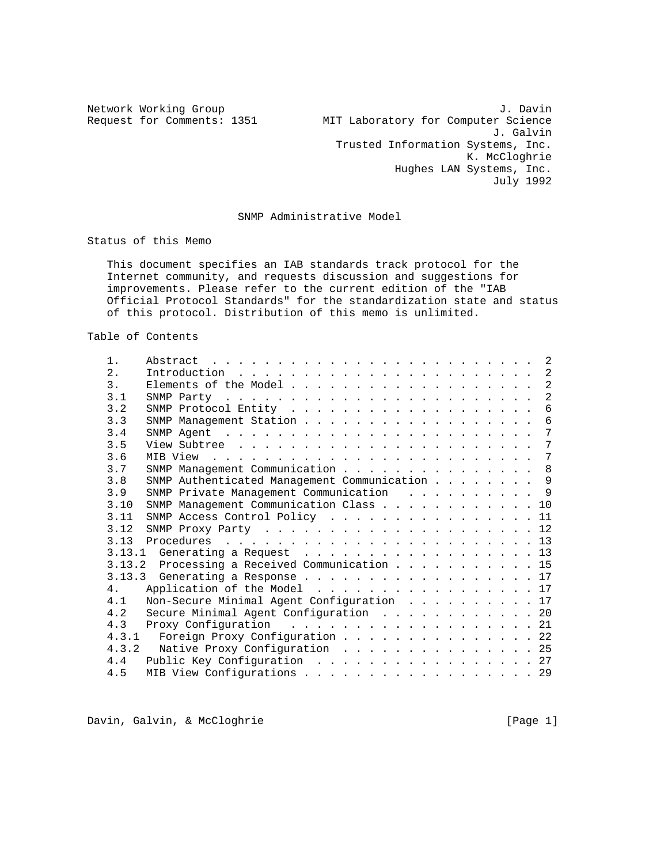Network Working Group J. Davin Request for Comments: 1351 MIT Laboratory for Computer Science J. Galvin Trusted Information Systems, Inc. K. McCloghrie Hughes LAN Systems, Inc. July 1992

## SNMP Administrative Model

Status of this Memo

 This document specifies an IAB standards track protocol for the Internet community, and requests discussion and suggestions for improvements. Please refer to the current edition of the "IAB Official Protocol Standards" for the standardization state and status of this protocol. Distribution of this memo is unlimited.

Table of Contents

| $1$ .          |                                               |
|----------------|-----------------------------------------------|
| 2.             |                                               |
| 3.             | 2                                             |
| 3.1            | 2                                             |
| 3.2            | 6                                             |
| 3.3            | SNMP Management Station 6                     |
| 3.4            | 7                                             |
| 3.5            | 7                                             |
| 3.6            | 7                                             |
| 3.7            | SNMP Management Communication 8               |
| 3.8            | SNMP Authenticated Management Communication 9 |
| 3.9            | SNMP Private Management Communication 9       |
| 3.10           | SNMP Management Communication Class 10        |
| 3.11           | SNMP Access Control Policy 11                 |
| 3.12           | SNMP Proxy Party $\ldots$ 12                  |
| 3.13           |                                               |
|                | 3.13.1 Generating a Request $\ldots$ 13       |
|                | 3.13.2 Processing a Received Communication 15 |
|                | 3.13.3 Generating a Response 17               |
| 4 <sub>1</sub> | Application of the Model 17                   |
| 4.1            | Non-Secure Minimal Agent Configuration 17     |
| 4.2            | Secure Minimal Agent Configuration 20         |
| 4.3            | Proxy Configuration 21                        |
|                | 4.3.1 Foreign Proxy Configuration 22          |
|                | 4.3.2 Native Proxy Configuration 25           |
| 4.4            | Public Key Configuration 27                   |
| 4.5            | MIB View Configurations 29                    |

Davin, Galvin, & McCloghrie **Example 20** (Page 1)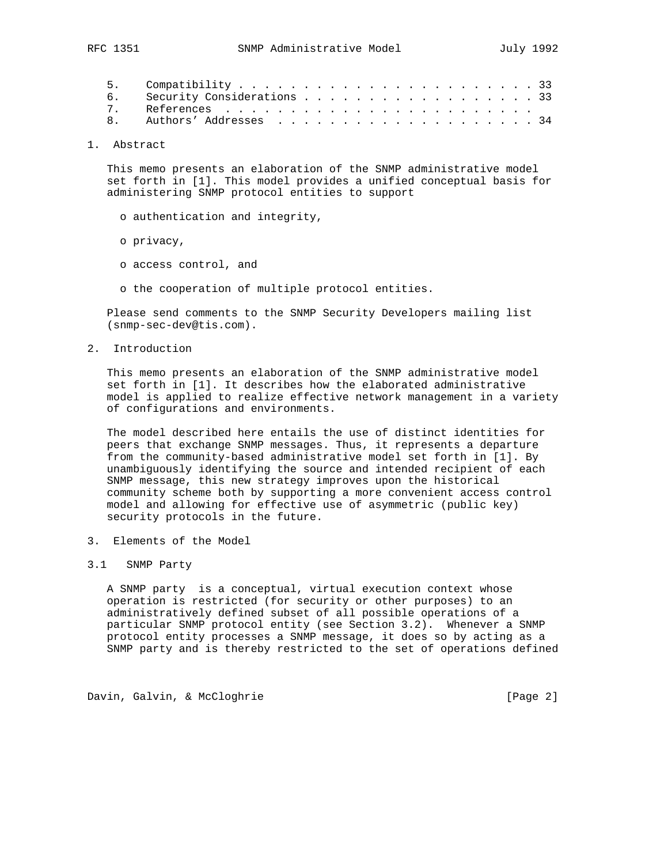| 6. Security Considerations 33 |  |
|-------------------------------|--|
|                               |  |
|                               |  |

1. Abstract

 This memo presents an elaboration of the SNMP administrative model set forth in [1]. This model provides a unified conceptual basis for administering SNMP protocol entities to support

- o authentication and integrity,
- o privacy,
- o access control, and
- o the cooperation of multiple protocol entities.

 Please send comments to the SNMP Security Developers mailing list (snmp-sec-dev@tis.com).

2. Introduction

 This memo presents an elaboration of the SNMP administrative model set forth in [1]. It describes how the elaborated administrative model is applied to realize effective network management in a variety of configurations and environments.

 The model described here entails the use of distinct identities for peers that exchange SNMP messages. Thus, it represents a departure from the community-based administrative model set forth in [1]. By unambiguously identifying the source and intended recipient of each SNMP message, this new strategy improves upon the historical community scheme both by supporting a more convenient access control model and allowing for effective use of asymmetric (public key) security protocols in the future.

- 3. Elements of the Model
- 3.1 SNMP Party

 A SNMP party is a conceptual, virtual execution context whose operation is restricted (for security or other purposes) to an administratively defined subset of all possible operations of a particular SNMP protocol entity (see Section 3.2). Whenever a SNMP protocol entity processes a SNMP message, it does so by acting as a SNMP party and is thereby restricted to the set of operations defined

Davin, Galvin, & McCloghrie **1988** (Page 2)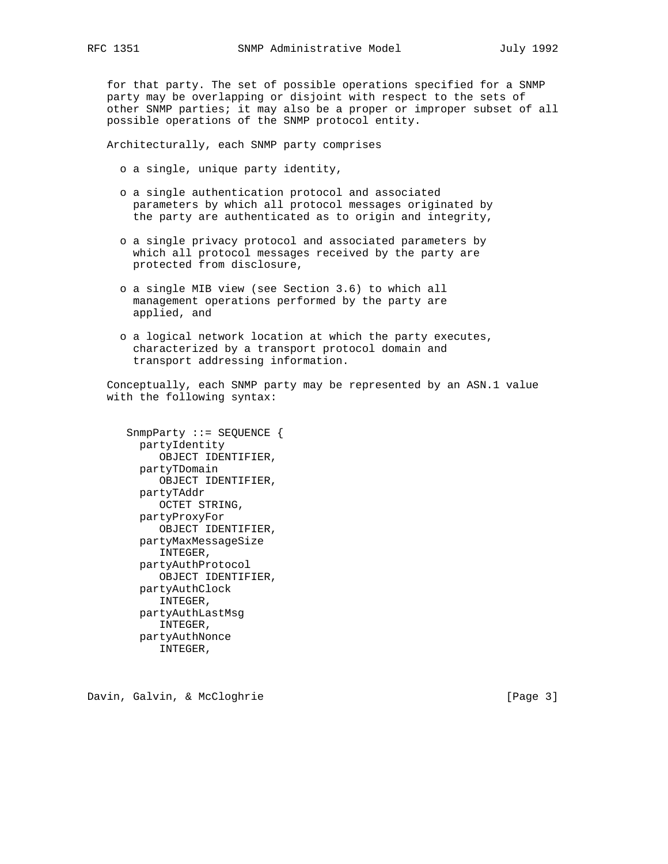for that party. The set of possible operations specified for a SNMP party may be overlapping or disjoint with respect to the sets of other SNMP parties; it may also be a proper or improper subset of all possible operations of the SNMP protocol entity.

Architecturally, each SNMP party comprises

- o a single, unique party identity,
- o a single authentication protocol and associated parameters by which all protocol messages originated by the party are authenticated as to origin and integrity,
- o a single privacy protocol and associated parameters by which all protocol messages received by the party are protected from disclosure,
- o a single MIB view (see Section 3.6) to which all management operations performed by the party are applied, and
- o a logical network location at which the party executes, characterized by a transport protocol domain and transport addressing information.

 Conceptually, each SNMP party may be represented by an ASN.1 value with the following syntax:

 SnmpParty ::= SEQUENCE { partyIdentity OBJECT IDENTIFIER, partyTDomain OBJECT IDENTIFIER, partyTAddr OCTET STRING, partyProxyFor OBJECT IDENTIFIER, partyMaxMessageSize INTEGER, partyAuthProtocol OBJECT IDENTIFIER, partyAuthClock INTEGER, partyAuthLastMsg INTEGER, partyAuthNonce INTEGER,

Davin, Galvin, & McCloghrie **Example 20** (Page 3)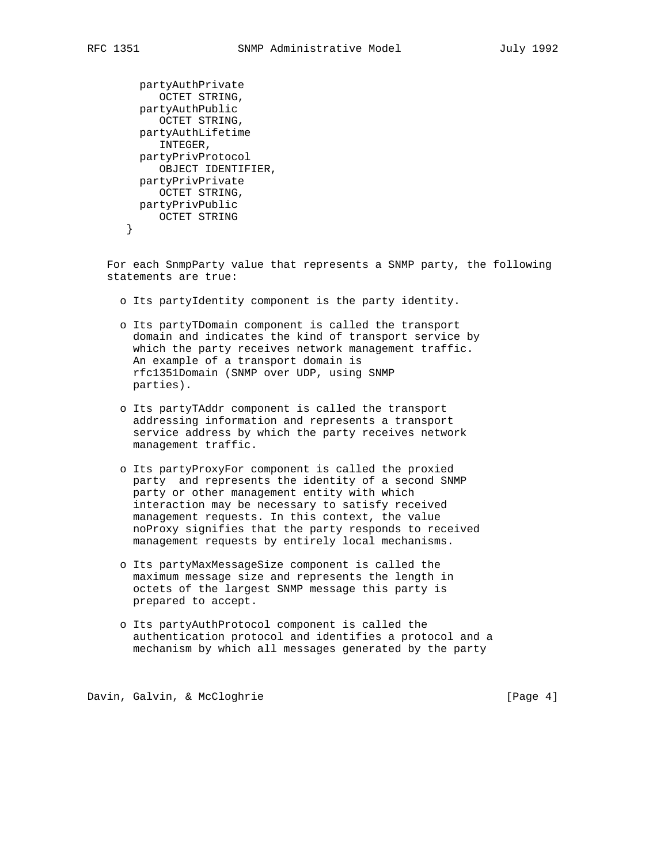```
 partyAuthPrivate
    OCTET STRING,
 partyAuthPublic
     OCTET STRING,
 partyAuthLifetime
     INTEGER,
 partyPrivProtocol
     OBJECT IDENTIFIER,
 partyPrivPrivate
    OCTET STRING,
 partyPrivPublic
   OCTET STRING
}
```
 For each SnmpParty value that represents a SNMP party, the following statements are true:

- o Its partyIdentity component is the party identity.
- o Its partyTDomain component is called the transport domain and indicates the kind of transport service by which the party receives network management traffic. An example of a transport domain is rfc1351Domain (SNMP over UDP, using SNMP parties).
- o Its partyTAddr component is called the transport addressing information and represents a transport service address by which the party receives network management traffic.
- o Its partyProxyFor component is called the proxied party and represents the identity of a second SNMP party or other management entity with which interaction may be necessary to satisfy received management requests. In this context, the value noProxy signifies that the party responds to received management requests by entirely local mechanisms.
- o Its partyMaxMessageSize component is called the maximum message size and represents the length in octets of the largest SNMP message this party is prepared to accept.
- o Its partyAuthProtocol component is called the authentication protocol and identifies a protocol and a mechanism by which all messages generated by the party

Davin, Galvin, & McCloghrie **Example 2018** [Page 4]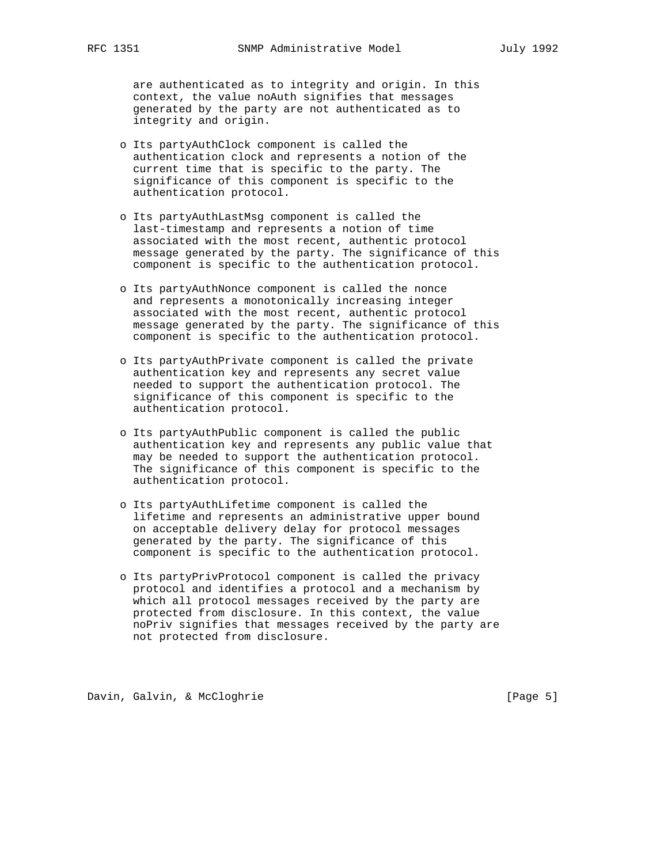are authenticated as to integrity and origin. In this context, the value noAuth signifies that messages generated by the party are not authenticated as to integrity and origin.

- o Its partyAuthClock component is called the authentication clock and represents a notion of the current time that is specific to the party. The significance of this component is specific to the authentication protocol.
- o Its partyAuthLastMsg component is called the last-timestamp and represents a notion of time associated with the most recent, authentic protocol message generated by the party. The significance of this component is specific to the authentication protocol.
- o Its partyAuthNonce component is called the nonce and represents a monotonically increasing integer associated with the most recent, authentic protocol message generated by the party. The significance of this component is specific to the authentication protocol.
- o Its partyAuthPrivate component is called the private authentication key and represents any secret value needed to support the authentication protocol. The significance of this component is specific to the authentication protocol.
- o Its partyAuthPublic component is called the public authentication key and represents any public value that may be needed to support the authentication protocol. The significance of this component is specific to the authentication protocol.
- o Its partyAuthLifetime component is called the lifetime and represents an administrative upper bound on acceptable delivery delay for protocol messages generated by the party. The significance of this component is specific to the authentication protocol.
- o Its partyPrivProtocol component is called the privacy protocol and identifies a protocol and a mechanism by which all protocol messages received by the party are protected from disclosure. In this context, the value noPriv signifies that messages received by the party are not protected from disclosure.

Davin, Galvin, & McCloghrie **Example 2018** [Page 5]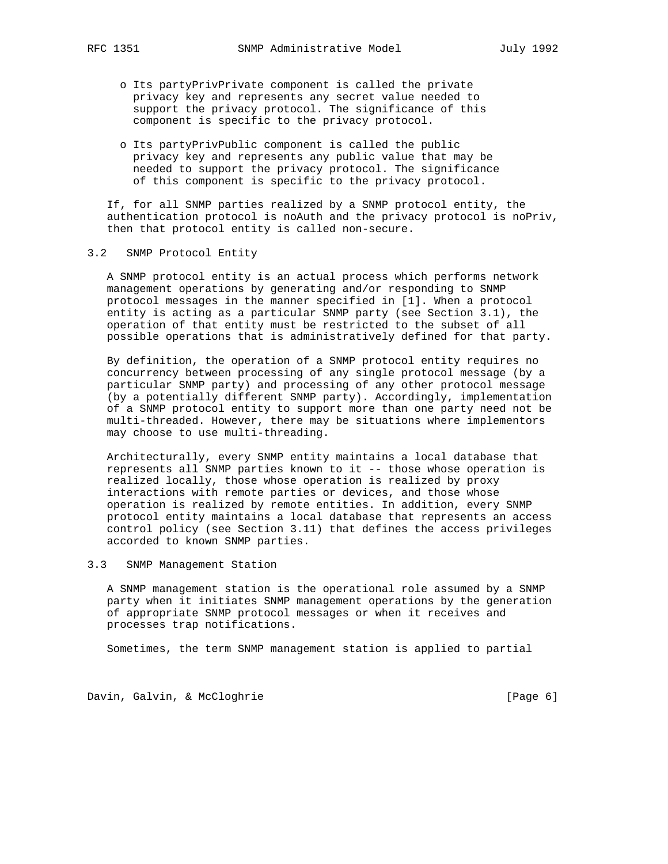- o Its partyPrivPrivate component is called the private privacy key and represents any secret value needed to support the privacy protocol. The significance of this component is specific to the privacy protocol.
- o Its partyPrivPublic component is called the public privacy key and represents any public value that may be needed to support the privacy protocol. The significance of this component is specific to the privacy protocol.

 If, for all SNMP parties realized by a SNMP protocol entity, the authentication protocol is noAuth and the privacy protocol is noPriv, then that protocol entity is called non-secure.

## 3.2 SNMP Protocol Entity

 A SNMP protocol entity is an actual process which performs network management operations by generating and/or responding to SNMP protocol messages in the manner specified in [1]. When a protocol entity is acting as a particular SNMP party (see Section 3.1), the operation of that entity must be restricted to the subset of all possible operations that is administratively defined for that party.

 By definition, the operation of a SNMP protocol entity requires no concurrency between processing of any single protocol message (by a particular SNMP party) and processing of any other protocol message (by a potentially different SNMP party). Accordingly, implementation of a SNMP protocol entity to support more than one party need not be multi-threaded. However, there may be situations where implementors may choose to use multi-threading.

 Architecturally, every SNMP entity maintains a local database that represents all SNMP parties known to it -- those whose operation is realized locally, those whose operation is realized by proxy interactions with remote parties or devices, and those whose operation is realized by remote entities. In addition, every SNMP protocol entity maintains a local database that represents an access control policy (see Section 3.11) that defines the access privileges accorded to known SNMP parties.

3.3 SNMP Management Station

 A SNMP management station is the operational role assumed by a SNMP party when it initiates SNMP management operations by the generation of appropriate SNMP protocol messages or when it receives and processes trap notifications.

Sometimes, the term SNMP management station is applied to partial

Davin, Galvin, & McCloghrie **1988** (Page 6)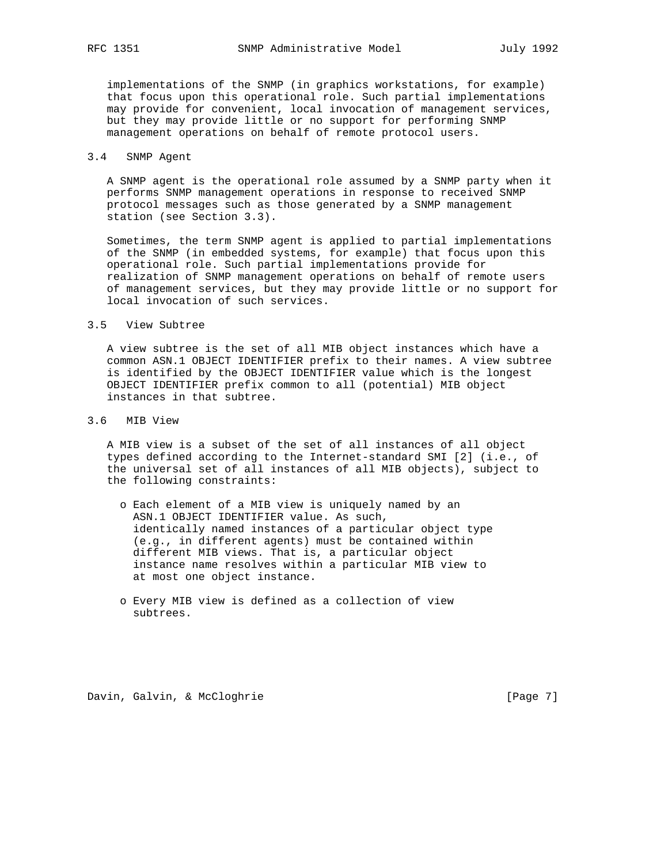implementations of the SNMP (in graphics workstations, for example) that focus upon this operational role. Such partial implementations may provide for convenient, local invocation of management services, but they may provide little or no support for performing SNMP management operations on behalf of remote protocol users.

## 3.4 SNMP Agent

 A SNMP agent is the operational role assumed by a SNMP party when it performs SNMP management operations in response to received SNMP protocol messages such as those generated by a SNMP management station (see Section 3.3).

 Sometimes, the term SNMP agent is applied to partial implementations of the SNMP (in embedded systems, for example) that focus upon this operational role. Such partial implementations provide for realization of SNMP management operations on behalf of remote users of management services, but they may provide little or no support for local invocation of such services.

#### 3.5 View Subtree

 A view subtree is the set of all MIB object instances which have a common ASN.1 OBJECT IDENTIFIER prefix to their names. A view subtree is identified by the OBJECT IDENTIFIER value which is the longest OBJECT IDENTIFIER prefix common to all (potential) MIB object instances in that subtree.

## 3.6 MIB View

 A MIB view is a subset of the set of all instances of all object types defined according to the Internet-standard SMI [2] (i.e., of the universal set of all instances of all MIB objects), subject to the following constraints:

- o Each element of a MIB view is uniquely named by an ASN.1 OBJECT IDENTIFIER value. As such, identically named instances of a particular object type (e.g., in different agents) must be contained within different MIB views. That is, a particular object instance name resolves within a particular MIB view to at most one object instance.
- o Every MIB view is defined as a collection of view subtrees.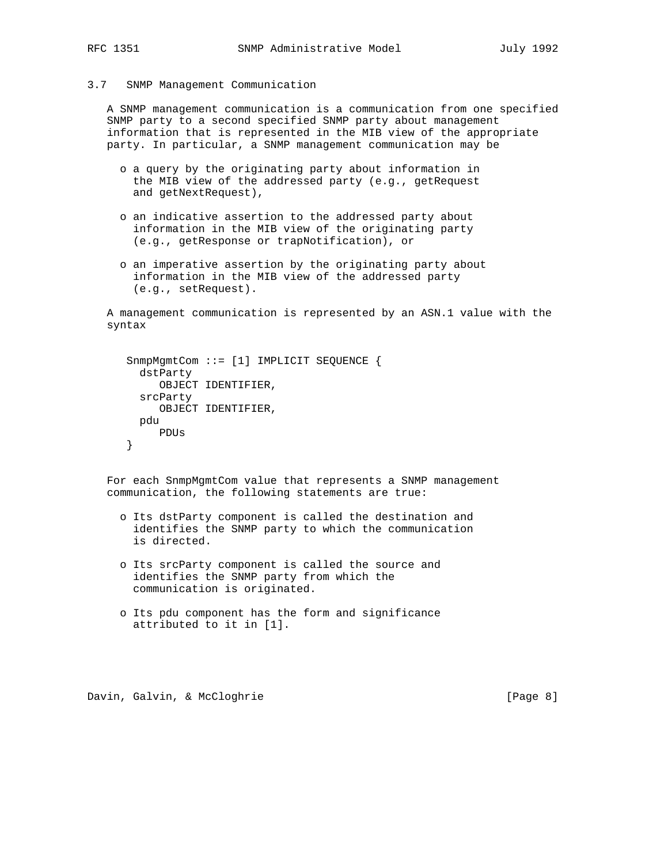3.7 SNMP Management Communication

 A SNMP management communication is a communication from one specified SNMP party to a second specified SNMP party about management information that is represented in the MIB view of the appropriate party. In particular, a SNMP management communication may be

- o a query by the originating party about information in the MIB view of the addressed party (e.g., getRequest and getNextRequest),
- o an indicative assertion to the addressed party about information in the MIB view of the originating party (e.g., getResponse or trapNotification), or
- o an imperative assertion by the originating party about information in the MIB view of the addressed party (e.g., setRequest).

 A management communication is represented by an ASN.1 value with the syntax

```
 SnmpMgmtCom ::= [1] IMPLICIT SEQUENCE {
  dstParty
     OBJECT IDENTIFIER,
  srcParty
     OBJECT IDENTIFIER,
 pdu
     PDUs
}
```
 For each SnmpMgmtCom value that represents a SNMP management communication, the following statements are true:

- o Its dstParty component is called the destination and identifies the SNMP party to which the communication is directed.
- o Its srcParty component is called the source and identifies the SNMP party from which the communication is originated.
- o Its pdu component has the form and significance attributed to it in [1].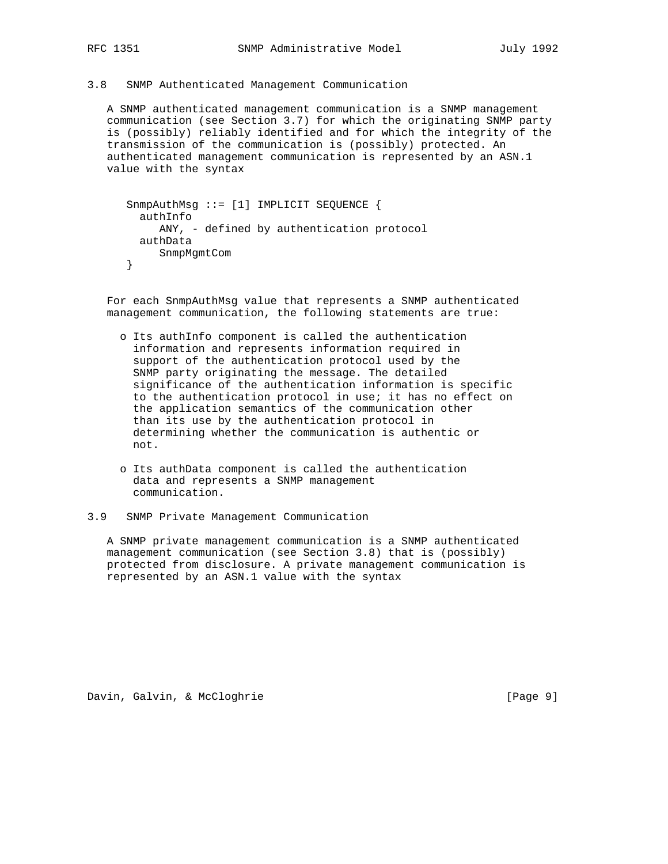## 3.8 SNMP Authenticated Management Communication

 A SNMP authenticated management communication is a SNMP management communication (see Section 3.7) for which the originating SNMP party is (possibly) reliably identified and for which the integrity of the transmission of the communication is (possibly) protected. An authenticated management communication is represented by an ASN.1 value with the syntax

```
 SnmpAuthMsg ::= [1] IMPLICIT SEQUENCE {
  authInfo
     ANY, - defined by authentication protocol
 authData
     SnmpMgmtCom
}
```
 For each SnmpAuthMsg value that represents a SNMP authenticated management communication, the following statements are true:

- o Its authInfo component is called the authentication information and represents information required in support of the authentication protocol used by the SNMP party originating the message. The detailed significance of the authentication information is specific to the authentication protocol in use; it has no effect on the application semantics of the communication other than its use by the authentication protocol in determining whether the communication is authentic or not.
- o Its authData component is called the authentication data and represents a SNMP management communication.
- 3.9 SNMP Private Management Communication

 A SNMP private management communication is a SNMP authenticated management communication (see Section 3.8) that is (possibly) protected from disclosure. A private management communication is represented by an ASN.1 value with the syntax

Davin, Galvin, & McCloghrie **Example 20** (Page 9)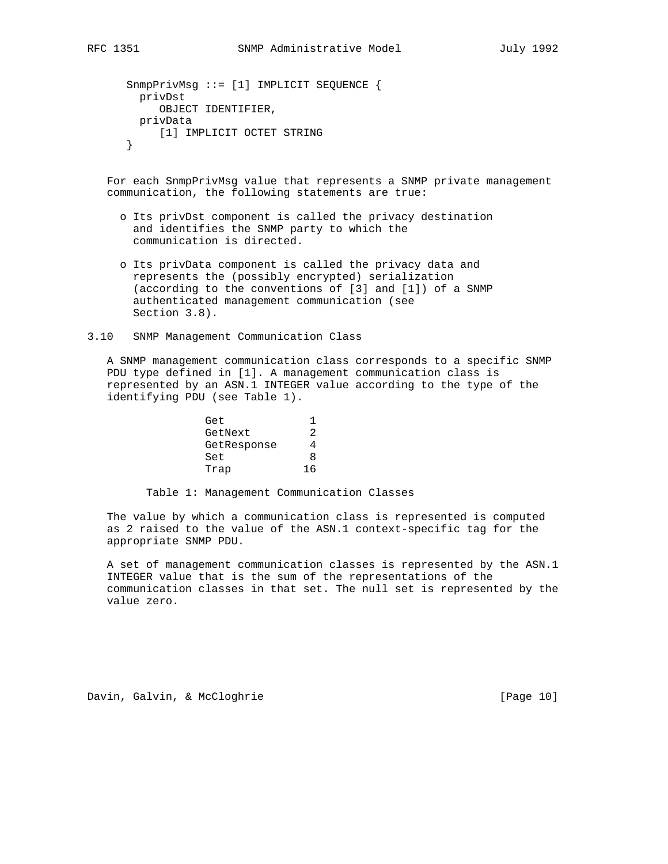For each SnmpPrivMsg value that represents a SNMP private management communication, the following statements are true:

- o Its privDst component is called the privacy destination and identifies the SNMP party to which the communication is directed.
- o Its privData component is called the privacy data and represents the (possibly encrypted) serialization (according to the conventions of [3] and [1]) of a SNMP authenticated management communication (see Section 3.8).
- 3.10 SNMP Management Communication Class

 A SNMP management communication class corresponds to a specific SNMP PDU type defined in [1]. A management communication class is represented by an ASN.1 INTEGER value according to the type of the identifying PDU (see Table 1).

| Get         |   |
|-------------|---|
| GetNext     |   |
| GetResponse |   |
| Set         | я |
| Trap        |   |

Table 1: Management Communication Classes

 The value by which a communication class is represented is computed as 2 raised to the value of the ASN.1 context-specific tag for the appropriate SNMP PDU.

 A set of management communication classes is represented by the ASN.1 INTEGER value that is the sum of the representations of the communication classes in that set. The null set is represented by the value zero.

Davin, Galvin, & McCloghrie [Page 10]

}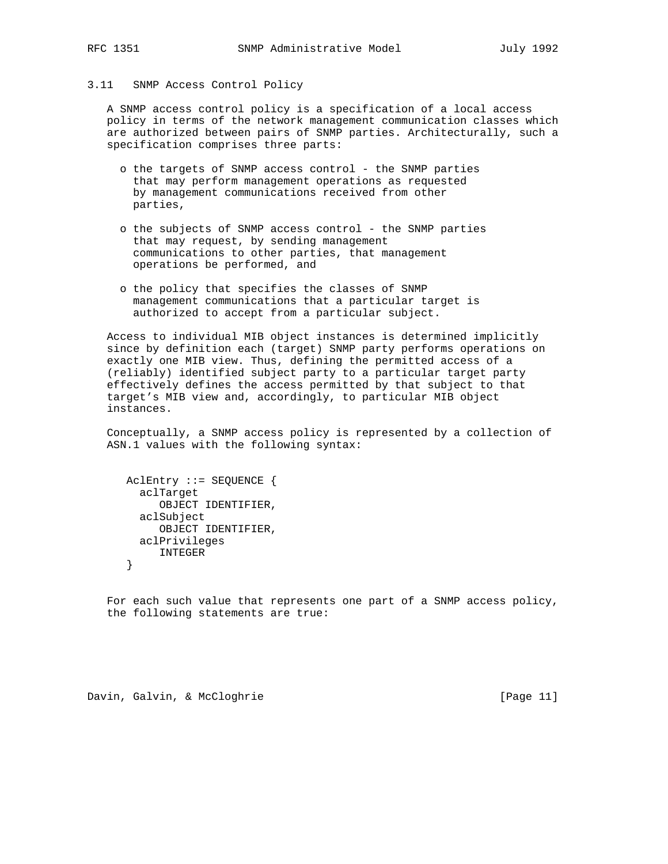## 3.11 SNMP Access Control Policy

 A SNMP access control policy is a specification of a local access policy in terms of the network management communication classes which are authorized between pairs of SNMP parties. Architecturally, such a specification comprises three parts:

- o the targets of SNMP access control the SNMP parties that may perform management operations as requested by management communications received from other parties,
- o the subjects of SNMP access control the SNMP parties that may request, by sending management communications to other parties, that management operations be performed, and
- o the policy that specifies the classes of SNMP management communications that a particular target is authorized to accept from a particular subject.

 Access to individual MIB object instances is determined implicitly since by definition each (target) SNMP party performs operations on exactly one MIB view. Thus, defining the permitted access of a (reliably) identified subject party to a particular target party effectively defines the access permitted by that subject to that target's MIB view and, accordingly, to particular MIB object instances.

 Conceptually, a SNMP access policy is represented by a collection of ASN.1 values with the following syntax:

```
 AclEntry ::= SEQUENCE {
  aclTarget
     OBJECT IDENTIFIER,
  aclSubject
     OBJECT IDENTIFIER,
  aclPrivileges
    INTEGER
}
```
 For each such value that represents one part of a SNMP access policy, the following statements are true: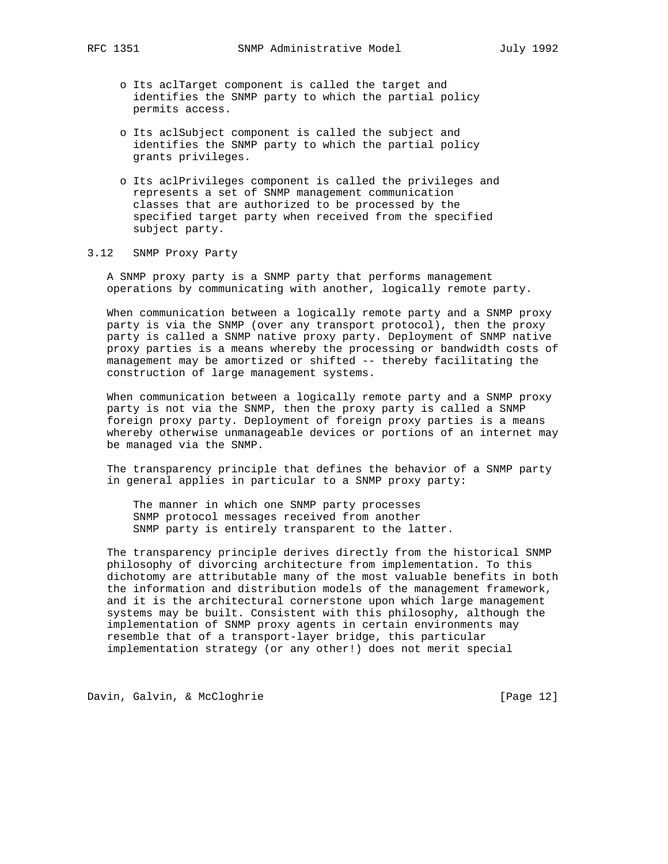- o Its aclTarget component is called the target and identifies the SNMP party to which the partial policy permits access.
- o Its aclSubject component is called the subject and identifies the SNMP party to which the partial policy grants privileges.
- o Its aclPrivileges component is called the privileges and represents a set of SNMP management communication classes that are authorized to be processed by the specified target party when received from the specified subject party.

# 3.12 SNMP Proxy Party

 A SNMP proxy party is a SNMP party that performs management operations by communicating with another, logically remote party.

 When communication between a logically remote party and a SNMP proxy party is via the SNMP (over any transport protocol), then the proxy party is called a SNMP native proxy party. Deployment of SNMP native proxy parties is a means whereby the processing or bandwidth costs of management may be amortized or shifted -- thereby facilitating the construction of large management systems.

 When communication between a logically remote party and a SNMP proxy party is not via the SNMP, then the proxy party is called a SNMP foreign proxy party. Deployment of foreign proxy parties is a means whereby otherwise unmanageable devices or portions of an internet may be managed via the SNMP.

 The transparency principle that defines the behavior of a SNMP party in general applies in particular to a SNMP proxy party:

 The manner in which one SNMP party processes SNMP protocol messages received from another SNMP party is entirely transparent to the latter.

 The transparency principle derives directly from the historical SNMP philosophy of divorcing architecture from implementation. To this dichotomy are attributable many of the most valuable benefits in both the information and distribution models of the management framework, and it is the architectural cornerstone upon which large management systems may be built. Consistent with this philosophy, although the implementation of SNMP proxy agents in certain environments may resemble that of a transport-layer bridge, this particular implementation strategy (or any other!) does not merit special

Davin, Galvin, & McCloghrie [Page 12]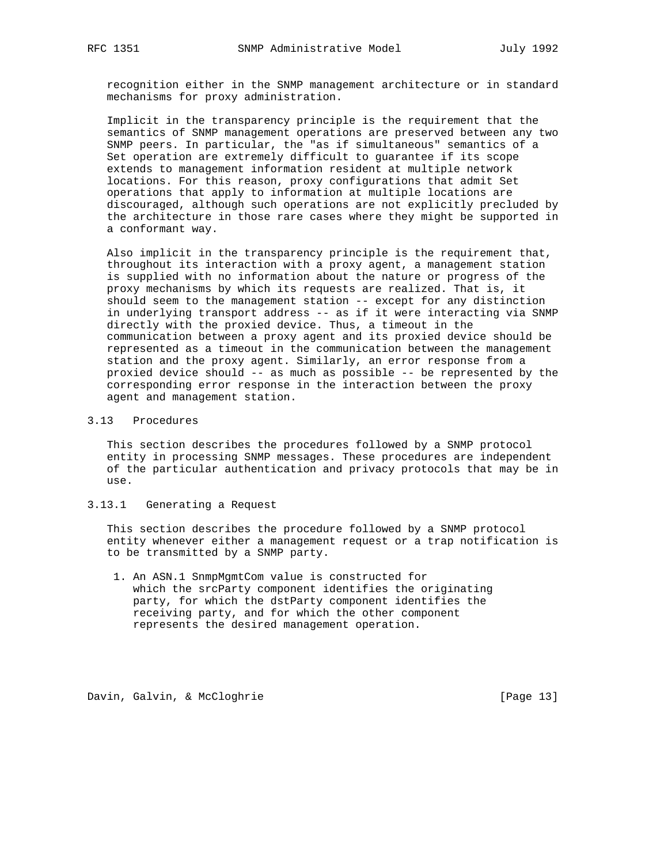recognition either in the SNMP management architecture or in standard mechanisms for proxy administration.

 Implicit in the transparency principle is the requirement that the semantics of SNMP management operations are preserved between any two SNMP peers. In particular, the "as if simultaneous" semantics of a Set operation are extremely difficult to guarantee if its scope extends to management information resident at multiple network locations. For this reason, proxy configurations that admit Set operations that apply to information at multiple locations are discouraged, although such operations are not explicitly precluded by the architecture in those rare cases where they might be supported in a conformant way.

 Also implicit in the transparency principle is the requirement that, throughout its interaction with a proxy agent, a management station is supplied with no information about the nature or progress of the proxy mechanisms by which its requests are realized. That is, it should seem to the management station -- except for any distinction in underlying transport address -- as if it were interacting via SNMP directly with the proxied device. Thus, a timeout in the communication between a proxy agent and its proxied device should be represented as a timeout in the communication between the management station and the proxy agent. Similarly, an error response from a proxied device should -- as much as possible -- be represented by the corresponding error response in the interaction between the proxy agent and management station.

#### 3.13 Procedures

 This section describes the procedures followed by a SNMP protocol entity in processing SNMP messages. These procedures are independent of the particular authentication and privacy protocols that may be in use.

## 3.13.1 Generating a Request

 This section describes the procedure followed by a SNMP protocol entity whenever either a management request or a trap notification is to be transmitted by a SNMP party.

 1. An ASN.1 SnmpMgmtCom value is constructed for which the srcParty component identifies the originating party, for which the dstParty component identifies the receiving party, and for which the other component represents the desired management operation.

Davin, Galvin, & McCloghrie [Page 13]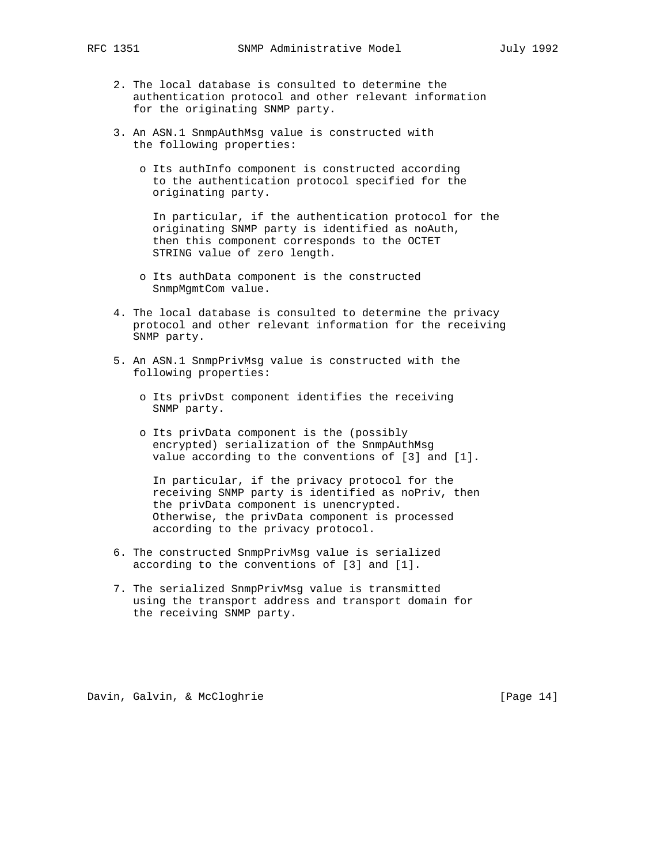- - 2. The local database is consulted to determine the authentication protocol and other relevant information for the originating SNMP party.
	- 3. An ASN.1 SnmpAuthMsg value is constructed with the following properties:
		- o Its authInfo component is constructed according to the authentication protocol specified for the originating party.

 In particular, if the authentication protocol for the originating SNMP party is identified as noAuth, then this component corresponds to the OCTET STRING value of zero length.

- o Its authData component is the constructed SnmpMgmtCom value.
- 4. The local database is consulted to determine the privacy protocol and other relevant information for the receiving SNMP party.
- 5. An ASN.1 SnmpPrivMsg value is constructed with the following properties:
	- o Its privDst component identifies the receiving SNMP party.
	- o Its privData component is the (possibly encrypted) serialization of the SnmpAuthMsg value according to the conventions of [3] and [1].

 In particular, if the privacy protocol for the receiving SNMP party is identified as noPriv, then the privData component is unencrypted. Otherwise, the privData component is processed according to the privacy protocol.

- 6. The constructed SnmpPrivMsg value is serialized according to the conventions of [3] and [1].
- 7. The serialized SnmpPrivMsg value is transmitted using the transport address and transport domain for the receiving SNMP party.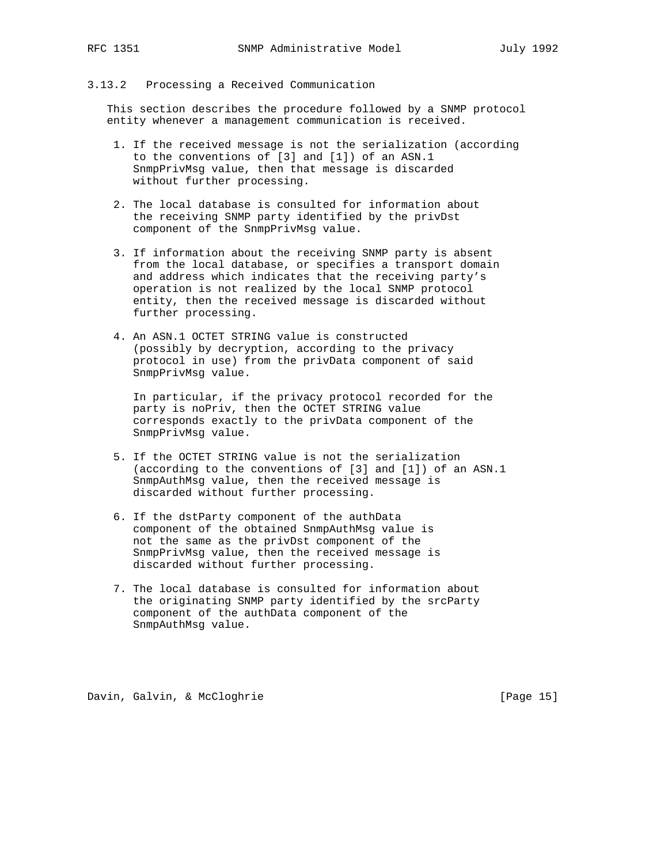## 3.13.2 Processing a Received Communication

 This section describes the procedure followed by a SNMP protocol entity whenever a management communication is received.

- 1. If the received message is not the serialization (according to the conventions of [3] and [1]) of an ASN.1 SnmpPrivMsg value, then that message is discarded without further processing.
- 2. The local database is consulted for information about the receiving SNMP party identified by the privDst component of the SnmpPrivMsg value.
- 3. If information about the receiving SNMP party is absent from the local database, or specifies a transport domain and address which indicates that the receiving party's operation is not realized by the local SNMP protocol entity, then the received message is discarded without further processing.
- 4. An ASN.1 OCTET STRING value is constructed (possibly by decryption, according to the privacy protocol in use) from the privData component of said SnmpPrivMsg value.

 In particular, if the privacy protocol recorded for the party is noPriv, then the OCTET STRING value corresponds exactly to the privData component of the SnmpPrivMsg value.

- 5. If the OCTET STRING value is not the serialization (according to the conventions of [3] and [1]) of an ASN.1 SnmpAuthMsg value, then the received message is discarded without further processing.
- 6. If the dstParty component of the authData component of the obtained SnmpAuthMsg value is not the same as the privDst component of the SnmpPrivMsg value, then the received message is discarded without further processing.
- 7. The local database is consulted for information about the originating SNMP party identified by the srcParty component of the authData component of the SnmpAuthMsg value.

Davin, Galvin, & McCloghrie [Page 15]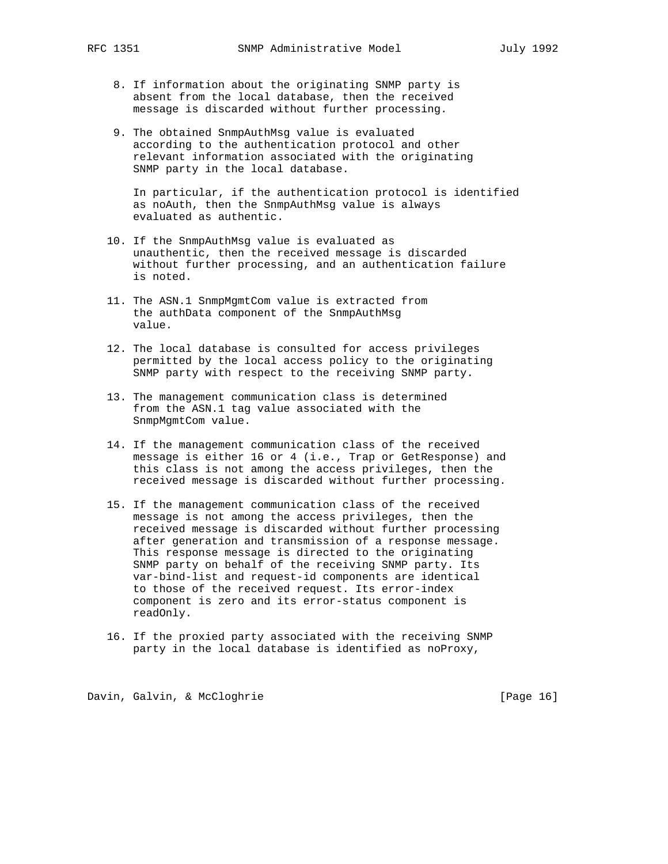- 8. If information about the originating SNMP party is absent from the local database, then the received message is discarded without further processing.
- 9. The obtained SnmpAuthMsg value is evaluated according to the authentication protocol and other relevant information associated with the originating SNMP party in the local database.

 In particular, if the authentication protocol is identified as noAuth, then the SnmpAuthMsg value is always evaluated as authentic.

- 10. If the SnmpAuthMsg value is evaluated as unauthentic, then the received message is discarded without further processing, and an authentication failure is noted.
- 11. The ASN.1 SnmpMgmtCom value is extracted from the authData component of the SnmpAuthMsg value.
- 12. The local database is consulted for access privileges permitted by the local access policy to the originating SNMP party with respect to the receiving SNMP party.
- 13. The management communication class is determined from the ASN.1 tag value associated with the SnmpMgmtCom value.
- 14. If the management communication class of the received message is either 16 or 4 (i.e., Trap or GetResponse) and this class is not among the access privileges, then the received message is discarded without further processing.
- 15. If the management communication class of the received message is not among the access privileges, then the received message is discarded without further processing after generation and transmission of a response message. This response message is directed to the originating SNMP party on behalf of the receiving SNMP party. Its var-bind-list and request-id components are identical to those of the received request. Its error-index component is zero and its error-status component is readOnly.
- 16. If the proxied party associated with the receiving SNMP party in the local database is identified as noProxy,

Davin, Galvin, & McCloghrie [Page 16]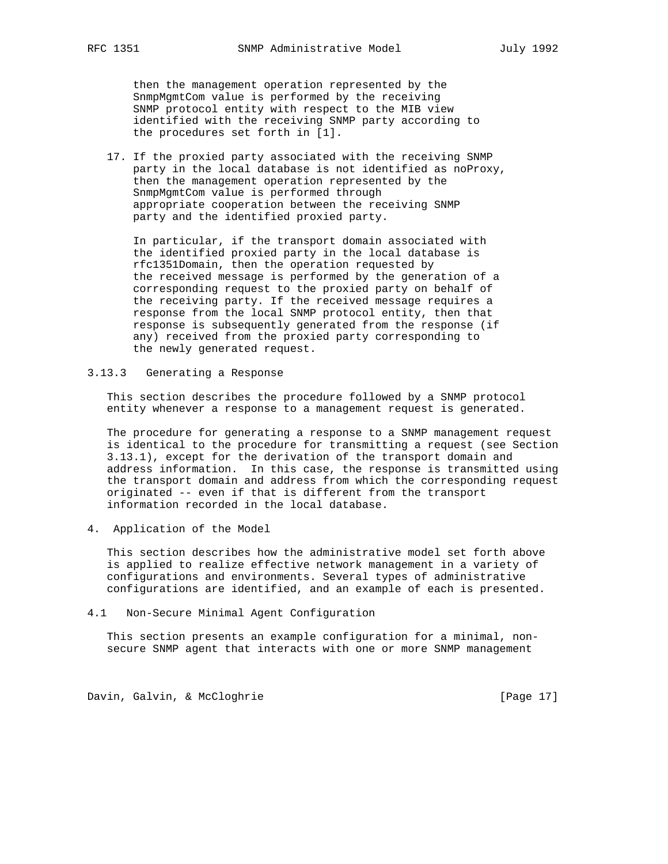then the management operation represented by the SnmpMgmtCom value is performed by the receiving SNMP protocol entity with respect to the MIB view identified with the receiving SNMP party according to the procedures set forth in [1].

 17. If the proxied party associated with the receiving SNMP party in the local database is not identified as noProxy, then the management operation represented by the SnmpMgmtCom value is performed through appropriate cooperation between the receiving SNMP party and the identified proxied party.

 In particular, if the transport domain associated with the identified proxied party in the local database is rfc1351Domain, then the operation requested by the received message is performed by the generation of a corresponding request to the proxied party on behalf of the receiving party. If the received message requires a response from the local SNMP protocol entity, then that response is subsequently generated from the response (if any) received from the proxied party corresponding to the newly generated request.

3.13.3 Generating a Response

 This section describes the procedure followed by a SNMP protocol entity whenever a response to a management request is generated.

 The procedure for generating a response to a SNMP management request is identical to the procedure for transmitting a request (see Section 3.13.1), except for the derivation of the transport domain and address information. In this case, the response is transmitted using the transport domain and address from which the corresponding request originated -- even if that is different from the transport information recorded in the local database.

4. Application of the Model

 This section describes how the administrative model set forth above is applied to realize effective network management in a variety of configurations and environments. Several types of administrative configurations are identified, and an example of each is presented.

4.1 Non-Secure Minimal Agent Configuration

 This section presents an example configuration for a minimal, non secure SNMP agent that interacts with one or more SNMP management

Davin, Galvin, & McCloghrie [Page 17]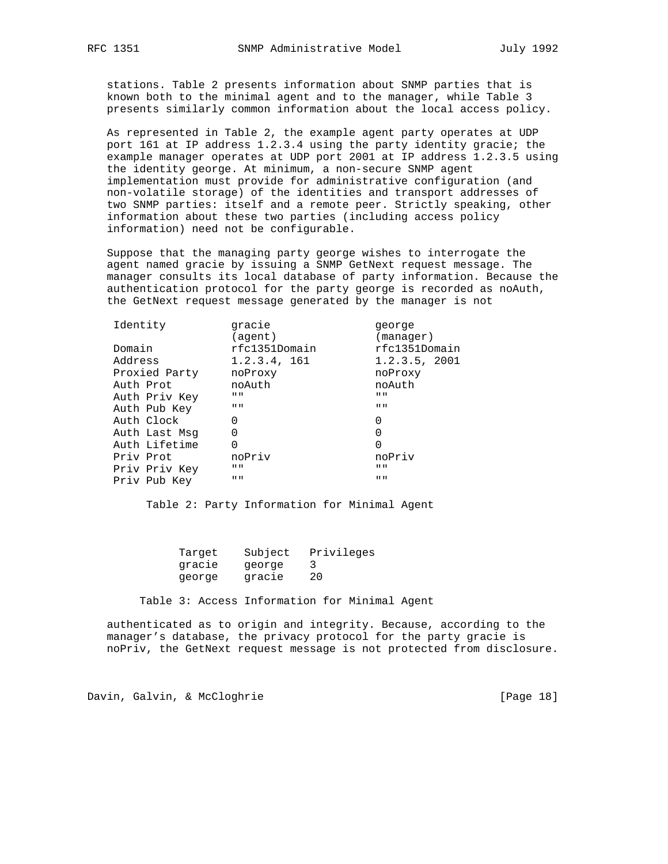stations. Table 2 presents information about SNMP parties that is known both to the minimal agent and to the manager, while Table 3 presents similarly common information about the local access policy.

 As represented in Table 2, the example agent party operates at UDP port 161 at IP address 1.2.3.4 using the party identity gracie; the example manager operates at UDP port 2001 at IP address 1.2.3.5 using the identity george. At minimum, a non-secure SNMP agent implementation must provide for administrative configuration (and non-volatile storage) of the identities and transport addresses of two SNMP parties: itself and a remote peer. Strictly speaking, other information about these two parties (including access policy information) need not be configurable.

 Suppose that the managing party george wishes to interrogate the agent named gracie by issuing a SNMP GetNext request message. The manager consults its local database of party information. Because the authentication protocol for the party george is recorded as noAuth, the GetNext request message generated by the manager is not

| Identity      | gracie                    | qeorqe                    |
|---------------|---------------------------|---------------------------|
|               | (agent)                   | (manager)                 |
| Domain        | rfc1351Domain             | rfc1351Domain             |
| Address       | 1.2.3.4, 161              | 1.2.3.5, 2001             |
| Proxied Party | noProxy                   | noProxy                   |
| Auth Prot     | noAuth                    | noAuth                    |
| Auth Priv Key | $\mathbf{H}$ $\mathbf{H}$ | $\mathbf{H}$ $\mathbf{H}$ |
| Auth Pub Key  | $\mathbf{H}$ $\mathbf{H}$ | $\mathbf{H}$ $\mathbf{H}$ |
| Auth Clock    | O                         | 0                         |
| Auth Last Msg | O                         | 0                         |
| Auth Lifetime | 0                         | 0                         |
| Priv Prot     | noPriv                    | noPriv                    |
| Priv Priv Key | $\mathbf{H}$ $\mathbf{H}$ | $\mathbf{H}$ $\mathbf{H}$ |
| Priv Pub Key  | $\mathbf{H}$ $\mathbf{H}$ | $\mathbf{H}$ $\mathbf{H}$ |
|               |                           |                           |

Table 2: Party Information for Minimal Agent

| Target | Subject | Privileges |
|--------|---------|------------|
| gracie | george  |            |
| george | gracie  | 20         |

Table 3: Access Information for Minimal Agent

 authenticated as to origin and integrity. Because, according to the manager's database, the privacy protocol for the party gracie is noPriv, the GetNext request message is not protected from disclosure.

Davin, Galvin, & McCloghrie [Page 18]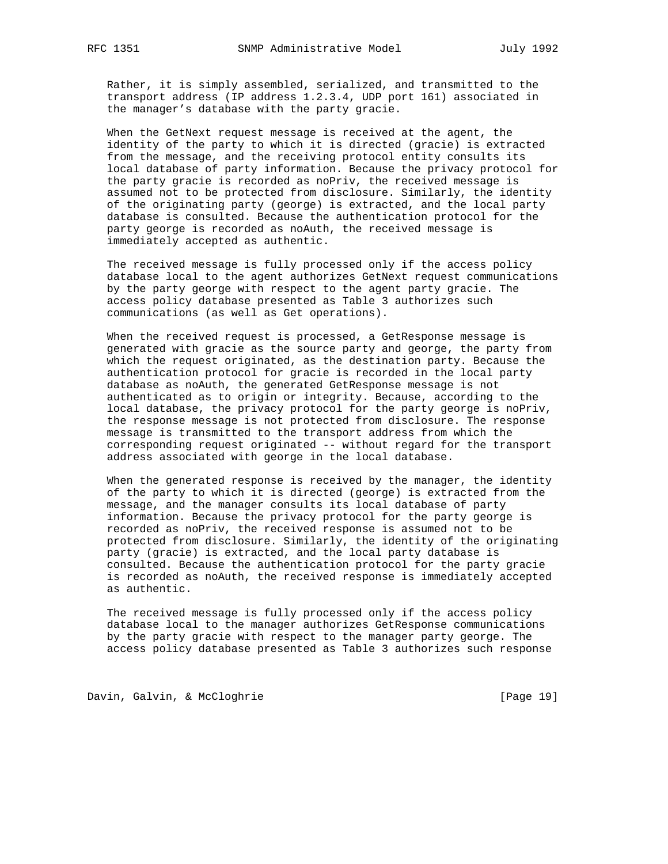Rather, it is simply assembled, serialized, and transmitted to the transport address (IP address 1.2.3.4, UDP port 161) associated in the manager's database with the party gracie.

 When the GetNext request message is received at the agent, the identity of the party to which it is directed (gracie) is extracted from the message, and the receiving protocol entity consults its local database of party information. Because the privacy protocol for the party gracie is recorded as noPriv, the received message is assumed not to be protected from disclosure. Similarly, the identity of the originating party (george) is extracted, and the local party database is consulted. Because the authentication protocol for the party george is recorded as noAuth, the received message is immediately accepted as authentic.

 The received message is fully processed only if the access policy database local to the agent authorizes GetNext request communications by the party george with respect to the agent party gracie. The access policy database presented as Table 3 authorizes such communications (as well as Get operations).

 When the received request is processed, a GetResponse message is generated with gracie as the source party and george, the party from which the request originated, as the destination party. Because the authentication protocol for gracie is recorded in the local party database as noAuth, the generated GetResponse message is not authenticated as to origin or integrity. Because, according to the local database, the privacy protocol for the party george is noPriv, the response message is not protected from disclosure. The response message is transmitted to the transport address from which the corresponding request originated -- without regard for the transport address associated with george in the local database.

 When the generated response is received by the manager, the identity of the party to which it is directed (george) is extracted from the message, and the manager consults its local database of party information. Because the privacy protocol for the party george is recorded as noPriv, the received response is assumed not to be protected from disclosure. Similarly, the identity of the originating party (gracie) is extracted, and the local party database is consulted. Because the authentication protocol for the party gracie is recorded as noAuth, the received response is immediately accepted as authentic.

 The received message is fully processed only if the access policy database local to the manager authorizes GetResponse communications by the party gracie with respect to the manager party george. The access policy database presented as Table 3 authorizes such response

Davin, Galvin, & McCloghrie [Page 19]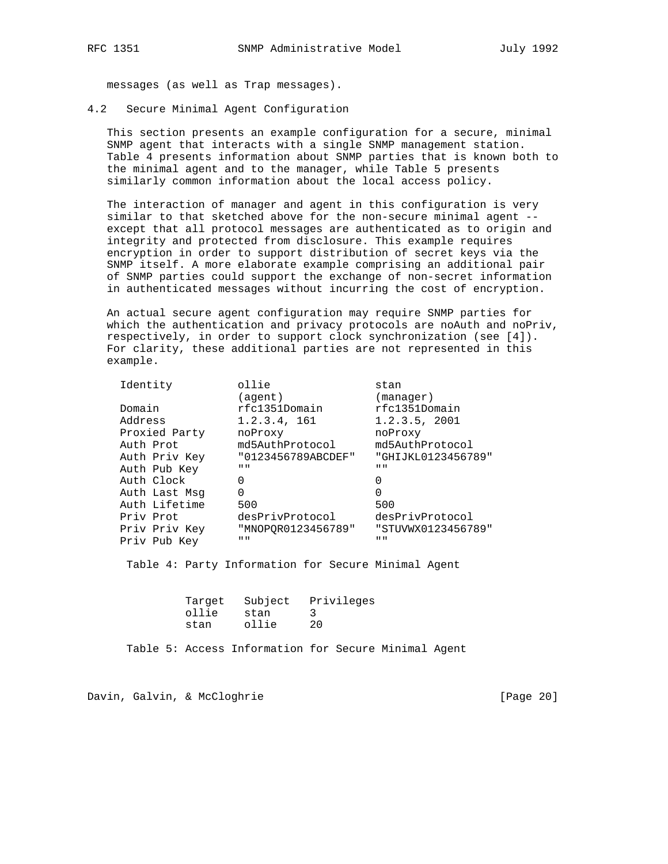messages (as well as Trap messages).

4.2 Secure Minimal Agent Configuration

 This section presents an example configuration for a secure, minimal SNMP agent that interacts with a single SNMP management station. Table 4 presents information about SNMP parties that is known both to the minimal agent and to the manager, while Table 5 presents similarly common information about the local access policy.

 The interaction of manager and agent in this configuration is very similar to that sketched above for the non-secure minimal agent - except that all protocol messages are authenticated as to origin and integrity and protected from disclosure. This example requires encryption in order to support distribution of secret keys via the SNMP itself. A more elaborate example comprising an additional pair of SNMP parties could support the exchange of non-secret information in authenticated messages without incurring the cost of encryption.

 An actual secure agent configuration may require SNMP parties for which the authentication and privacy protocols are noAuth and noPriv, respectively, in order to support clock synchronization (see [4]). For clarity, these additional parties are not represented in this example.

| Identity      | ollie                     | stan                      |
|---------------|---------------------------|---------------------------|
|               | (agent)                   | (manager)                 |
| Domain        | rfc1351Domain             | rfc1351Domain             |
| Address       | 1.2.3.4, 161              | 1.2.3.5, 2001             |
| Proxied Party | noProxy                   | noProxy                   |
| Auth Prot     | md5AuthProtocol           | md5AuthProtocol           |
| Auth Priv Key | "0123456789ABCDEF"        | "GHIJKL0123456789"        |
| Auth Pub Key  | $\mathbf{H}$ $\mathbf{H}$ | $\mathbf{H}$ $\mathbf{H}$ |
| Auth Clock    | 0                         |                           |
| Auth Last Msg | 0                         | U                         |
| Auth Lifetime | 500                       | 500                       |
| Priv Prot     | desPrivProtocol           | desPrivProtocol           |
| Priv Priv Key | "MNOPOR0123456789"        | "STUVWX0123456789"        |
| Priv Pub Key  | $II$ $II$                 | $\mathbf{u}$ $\mathbf{u}$ |

Table 4: Party Information for Secure Minimal Agent

|       |       | Target Subject Privileges |
|-------|-------|---------------------------|
| ollie | stan  |                           |
| stan  | ollie | 20                        |

Table 5: Access Information for Secure Minimal Agent

Davin, Galvin, & McCloghrie [Page 20]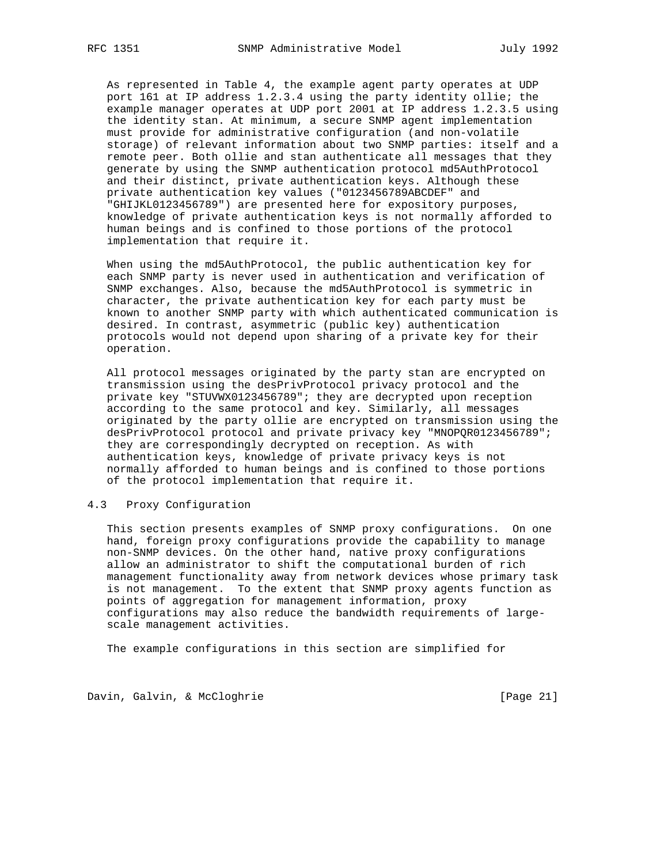As represented in Table 4, the example agent party operates at UDP port 161 at IP address 1.2.3.4 using the party identity ollie; the example manager operates at UDP port 2001 at IP address 1.2.3.5 using the identity stan. At minimum, a secure SNMP agent implementation must provide for administrative configuration (and non-volatile storage) of relevant information about two SNMP parties: itself and a remote peer. Both ollie and stan authenticate all messages that they generate by using the SNMP authentication protocol md5AuthProtocol and their distinct, private authentication keys. Although these private authentication key values ("0123456789ABCDEF" and "GHIJKL0123456789") are presented here for expository purposes, knowledge of private authentication keys is not normally afforded to human beings and is confined to those portions of the protocol implementation that require it.

 When using the md5AuthProtocol, the public authentication key for each SNMP party is never used in authentication and verification of SNMP exchanges. Also, because the md5AuthProtocol is symmetric in character, the private authentication key for each party must be known to another SNMP party with which authenticated communication is desired. In contrast, asymmetric (public key) authentication protocols would not depend upon sharing of a private key for their operation.

 All protocol messages originated by the party stan are encrypted on transmission using the desPrivProtocol privacy protocol and the private key "STUVWX0123456789"; they are decrypted upon reception according to the same protocol and key. Similarly, all messages originated by the party ollie are encrypted on transmission using the desPrivProtocol protocol and private privacy key "MNOPQR0123456789"; they are correspondingly decrypted on reception. As with authentication keys, knowledge of private privacy keys is not normally afforded to human beings and is confined to those portions of the protocol implementation that require it.

## 4.3 Proxy Configuration

 This section presents examples of SNMP proxy configurations. On one hand, foreign proxy configurations provide the capability to manage non-SNMP devices. On the other hand, native proxy configurations allow an administrator to shift the computational burden of rich management functionality away from network devices whose primary task is not management. To the extent that SNMP proxy agents function as points of aggregation for management information, proxy configurations may also reduce the bandwidth requirements of large scale management activities.

The example configurations in this section are simplified for

Davin, Galvin, & McCloghrie [Page 21]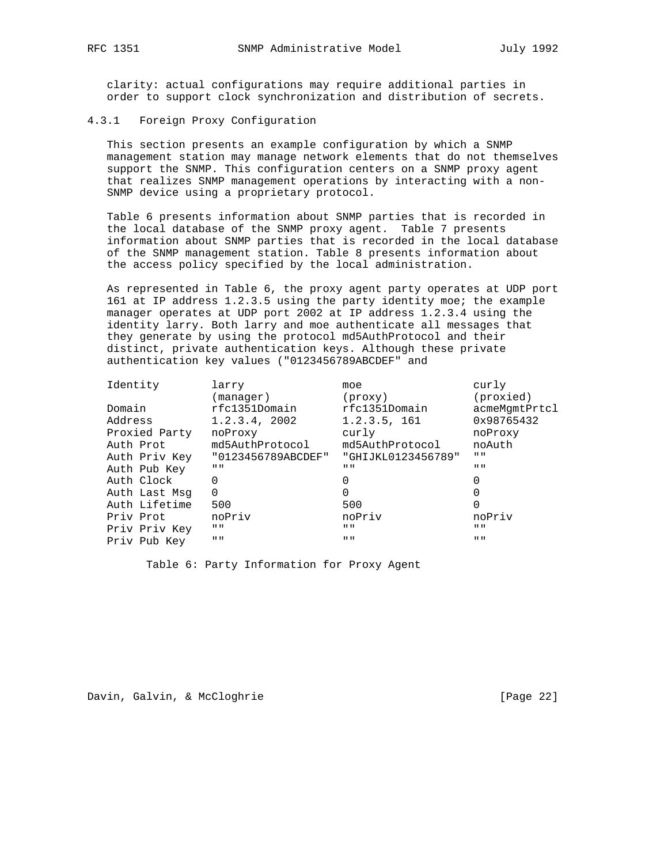clarity: actual configurations may require additional parties in order to support clock synchronization and distribution of secrets.

#### 4.3.1 Foreign Proxy Configuration

 This section presents an example configuration by which a SNMP management station may manage network elements that do not themselves support the SNMP. This configuration centers on a SNMP proxy agent that realizes SNMP management operations by interacting with a non- SNMP device using a proprietary protocol.

 Table 6 presents information about SNMP parties that is recorded in the local database of the SNMP proxy agent. Table 7 presents information about SNMP parties that is recorded in the local database of the SNMP management station. Table 8 presents information about the access policy specified by the local administration.

 As represented in Table 6, the proxy agent party operates at UDP port 161 at IP address 1.2.3.5 using the party identity moe; the example manager operates at UDP port 2002 at IP address 1.2.3.4 using the identity larry. Both larry and moe authenticate all messages that they generate by using the protocol md5AuthProtocol and their distinct, private authentication keys. Although these private authentication key values ("0123456789ABCDEF" and

| Identity      | larry                     | moe                       | curly                     |
|---------------|---------------------------|---------------------------|---------------------------|
|               | (manaqer)                 | (proxy)                   | (proxied)                 |
| Domain        | rfc1351Domain             | rfc1351Domain             | acmeMgmtPrtcl             |
| Address       | 1.2.3.4, 2002             | 1.2.3.5, 161              | 0x98765432                |
| Proxied Party | noProxy                   | curly                     | noProxy                   |
| Auth Prot     | md5AuthProtocol           | md5AuthProtocol           | noAuth                    |
| Auth Priv Key | "0123456789ABCDEF"        | "GHIJKL0123456789"        | $\mathbf{H}$ $\mathbf{H}$ |
| Auth Pub Key  | $\mathbf{H}$ $\mathbf{H}$ | $\mathbf{H}$ $\mathbf{H}$ | $\mathbf{H}$ $\mathbf{H}$ |
| Auth Clock    | 0                         |                           | 0                         |
| Auth Last Msg | $\Omega$                  |                           | 0                         |
| Auth Lifetime | 500                       | 500                       | 0                         |
| Priv Prot     | noPriv                    | noPriv                    | noPriv                    |
| Priv Priv Key | $\mathbf{H}$ $\mathbf{H}$ | $\mathbf{H}$ $\mathbf{H}$ | $\mathbf{H}$ $\mathbf{H}$ |
| Priv Pub Key  | $II$ $II$                 | $\mathbf{H}$ $\mathbf{H}$ | $\mathbf{H}$ $\mathbf{H}$ |

Table 6: Party Information for Proxy Agent

Davin, Galvin, & McCloghrie [Page 22]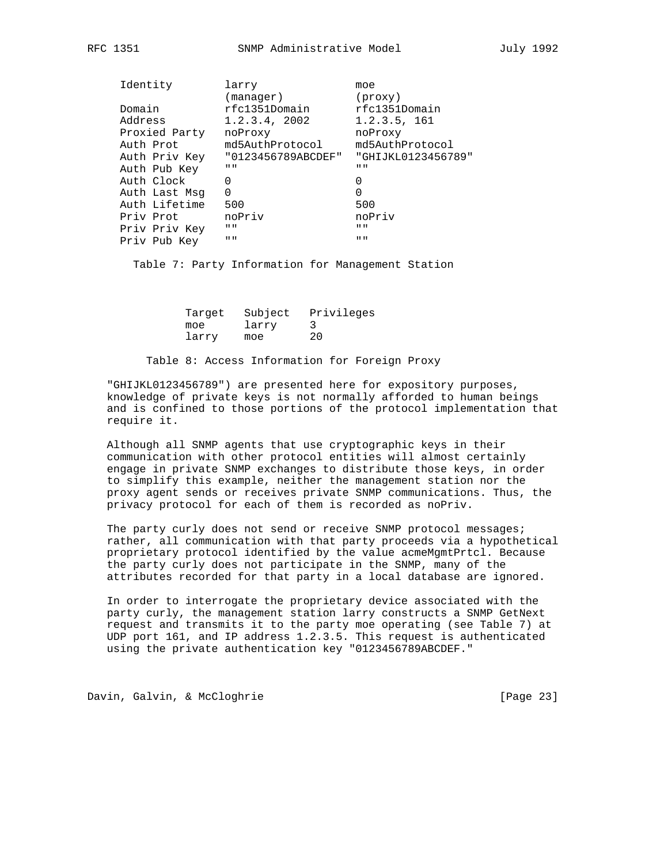|         | Identity      | larry                     | moe                       |
|---------|---------------|---------------------------|---------------------------|
|         |               | (manager)                 | (proxy)                   |
| Domain  |               | rfc1351Domain             | rfc1351Domain             |
| Address |               | 1.2.3.4, 2002             | 1.2.3.5, 161              |
|         | Proxied Party | noProxy                   | noProxy                   |
|         | Auth Prot     | md5AuthProtocol           | md5AuthProtocol           |
|         | Auth Priv Key | "0123456789ABCDEF"        | "GHIJKL0123456789"        |
|         | Auth Pub Key  | $\mathbf{H}$ $\mathbf{H}$ | $\mathbf{H}$ $\mathbf{H}$ |
|         | Auth Clock    | 0                         | 0                         |
|         | Auth Last Msg | $\Omega$                  | 0                         |
|         | Auth Lifetime | 500                       | 500                       |
|         | Priv Prot     | noPriv                    | noPriv                    |
|         | Priv Priv Key | $\mathbf{H}$ $\mathbf{H}$ | $\mathbf{H}$ $\mathbf{H}$ |
|         | Priv Pub Key  | $II$ $II$                 | $\mathbf{H}$ $\mathbf{H}$ |

Table 7: Party Information for Management Station

|       |       | Target Subject Privileges |
|-------|-------|---------------------------|
| moe   | larry |                           |
| larry | moe   | 20                        |

#### Table 8: Access Information for Foreign Proxy

 "GHIJKL0123456789") are presented here for expository purposes, knowledge of private keys is not normally afforded to human beings and is confined to those portions of the protocol implementation that require it.

 Although all SNMP agents that use cryptographic keys in their communication with other protocol entities will almost certainly engage in private SNMP exchanges to distribute those keys, in order to simplify this example, neither the management station nor the proxy agent sends or receives private SNMP communications. Thus, the privacy protocol for each of them is recorded as noPriv.

The party curly does not send or receive SNMP protocol messages; rather, all communication with that party proceeds via a hypothetical proprietary protocol identified by the value acmeMgmtPrtcl. Because the party curly does not participate in the SNMP, many of the attributes recorded for that party in a local database are ignored.

 In order to interrogate the proprietary device associated with the party curly, the management station larry constructs a SNMP GetNext request and transmits it to the party moe operating (see Table 7) at UDP port 161, and IP address 1.2.3.5. This request is authenticated using the private authentication key "0123456789ABCDEF."

Davin, Galvin, & McCloghrie [Page 23]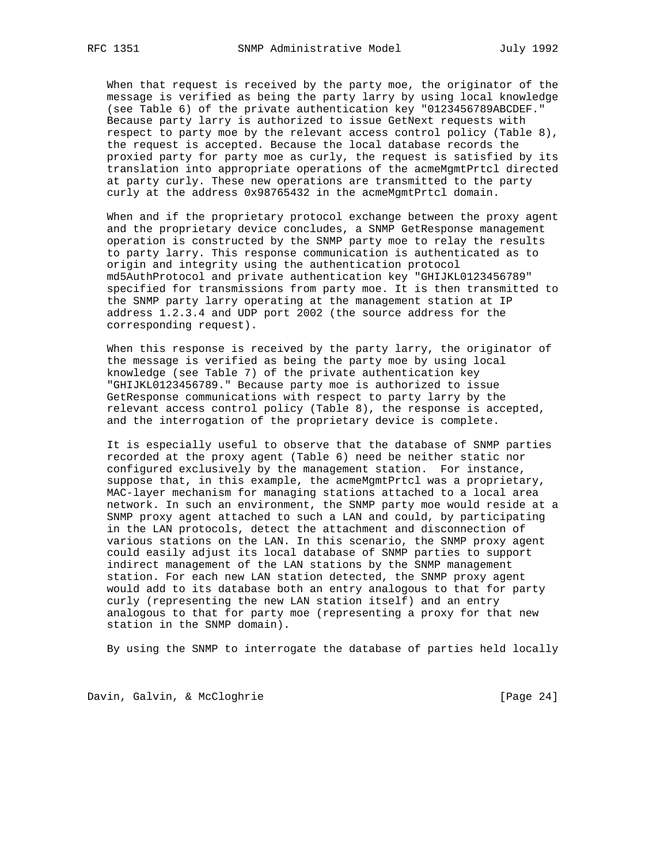When that request is received by the party moe, the originator of the message is verified as being the party larry by using local knowledge (see Table 6) of the private authentication key "0123456789ABCDEF." Because party larry is authorized to issue GetNext requests with respect to party moe by the relevant access control policy (Table 8), the request is accepted. Because the local database records the proxied party for party moe as curly, the request is satisfied by its translation into appropriate operations of the acmeMgmtPrtcl directed at party curly. These new operations are transmitted to the party curly at the address 0x98765432 in the acmeMgmtPrtcl domain.

 When and if the proprietary protocol exchange between the proxy agent and the proprietary device concludes, a SNMP GetResponse management operation is constructed by the SNMP party moe to relay the results to party larry. This response communication is authenticated as to origin and integrity using the authentication protocol md5AuthProtocol and private authentication key "GHIJKL0123456789" specified for transmissions from party moe. It is then transmitted to the SNMP party larry operating at the management station at IP address 1.2.3.4 and UDP port 2002 (the source address for the corresponding request).

 When this response is received by the party larry, the originator of the message is verified as being the party moe by using local knowledge (see Table 7) of the private authentication key "GHIJKL0123456789." Because party moe is authorized to issue GetResponse communications with respect to party larry by the relevant access control policy (Table 8), the response is accepted, and the interrogation of the proprietary device is complete.

 It is especially useful to observe that the database of SNMP parties recorded at the proxy agent (Table 6) need be neither static nor configured exclusively by the management station. For instance, suppose that, in this example, the acmeMgmtPrtcl was a proprietary, MAC-layer mechanism for managing stations attached to a local area network. In such an environment, the SNMP party moe would reside at a SNMP proxy agent attached to such a LAN and could, by participating in the LAN protocols, detect the attachment and disconnection of various stations on the LAN. In this scenario, the SNMP proxy agent could easily adjust its local database of SNMP parties to support indirect management of the LAN stations by the SNMP management station. For each new LAN station detected, the SNMP proxy agent would add to its database both an entry analogous to that for party curly (representing the new LAN station itself) and an entry analogous to that for party moe (representing a proxy for that new station in the SNMP domain).

By using the SNMP to interrogate the database of parties held locally

Davin, Galvin, & McCloghrie [Page 24]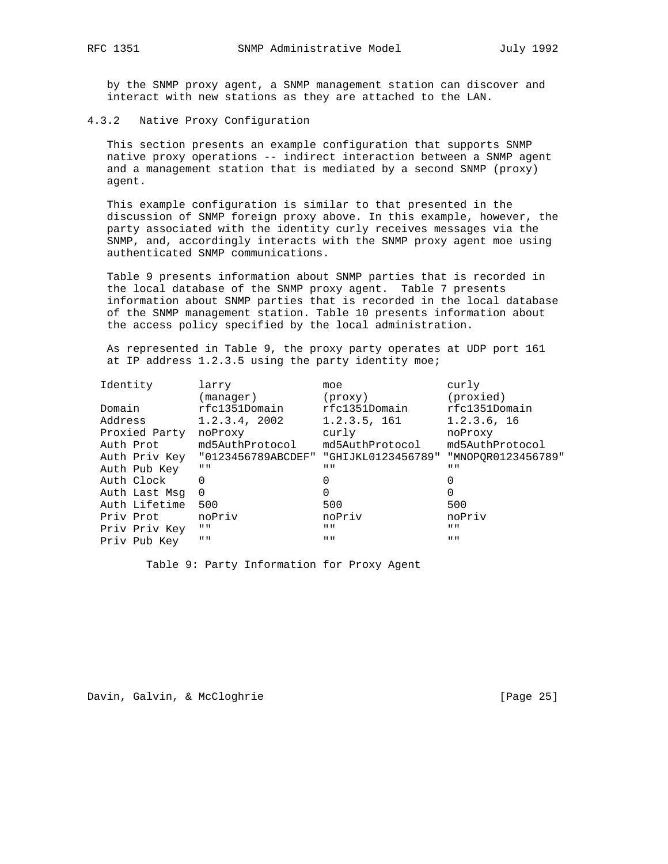by the SNMP proxy agent, a SNMP management station can discover and interact with new stations as they are attached to the LAN.

4.3.2 Native Proxy Configuration

 This section presents an example configuration that supports SNMP native proxy operations -- indirect interaction between a SNMP agent and a management station that is mediated by a second SNMP (proxy) agent.

 This example configuration is similar to that presented in the discussion of SNMP foreign proxy above. In this example, however, the party associated with the identity curly receives messages via the SNMP, and, accordingly interacts with the SNMP proxy agent moe using authenticated SNMP communications.

 Table 9 presents information about SNMP parties that is recorded in the local database of the SNMP proxy agent. Table 7 presents information about SNMP parties that is recorded in the local database of the SNMP management station. Table 10 presents information about the access policy specified by the local administration.

 As represented in Table 9, the proxy party operates at UDP port 161 at IP address 1.2.3.5 using the party identity moe;

| Identity      | larry                                               | moe                       | curly                     |
|---------------|-----------------------------------------------------|---------------------------|---------------------------|
|               | (manager)                                           | (prows)                   | (proxied)                 |
| Domain        | rfc1351Domain                                       | rfc1351Domain             | rfc1351Domain             |
| Address       | 1.2.3.4, 2002                                       | 1.2.3.5, 161              | 1.2.3.6, 16               |
| Proxied Party | noProxy                                             | curly                     | noProxy                   |
| Auth Prot     | md5AuthProtocol                                     | md5AuthProtocol           | md5AuthProtocol           |
|               | Auth Priv Key "0123456789ABCDEF" "GHIJKL0123456789" |                           | "MNOPOR0123456789"        |
| Auth Pub Key  | $\mathbf{H}$ $\mathbf{H}$                           | $\mathbf{H}$ $\mathbf{H}$ | $\mathbf{H}$ $\mathbf{H}$ |
| Auth Clock    | $\Omega$                                            | 0                         |                           |
| Auth Last Msg | $\Omega$                                            | $\Omega$                  |                           |
| Auth Lifetime | 500                                                 | 500                       | 500                       |
| Priv Prot     | noPriv                                              | noPriv                    | noPriv                    |
| Priv Priv Key | $\mathbf{H}$ $\mathbf{H}$                           | $\mathbf{H}$ $\mathbf{H}$ | $\mathbf{H}$ $\mathbf{H}$ |
| Priv Pub Key  | $\mathbf{H}$ $\mathbf{H}$                           | $\mathbf{H}$ $\mathbf{H}$ | $\mathbf{H}$ $\mathbf{H}$ |

Table 9: Party Information for Proxy Agent

Davin, Galvin, & McCloghrie [Page 25]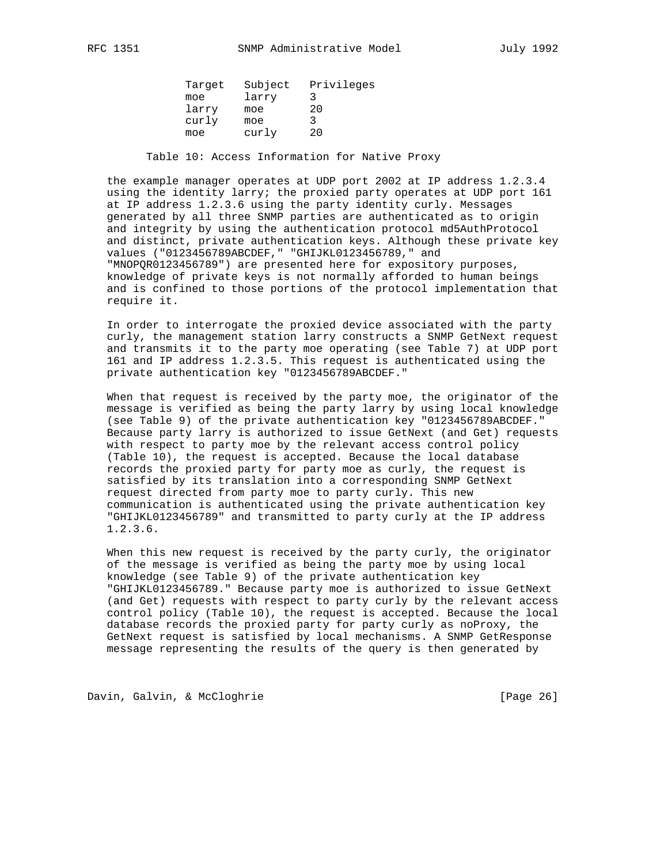| Target | Subject | Privileges |
|--------|---------|------------|
| moe    | larry   |            |
| larry  | moe     | 20         |
| curly  | moe     |            |
| moe    | curly   | 20         |
|        |         |            |

Table 10: Access Information for Native Proxy

 the example manager operates at UDP port 2002 at IP address 1.2.3.4 using the identity larry; the proxied party operates at UDP port 161 at IP address 1.2.3.6 using the party identity curly. Messages generated by all three SNMP parties are authenticated as to origin and integrity by using the authentication protocol md5AuthProtocol and distinct, private authentication keys. Although these private key values ("0123456789ABCDEF," "GHIJKL0123456789," and "MNOPQR0123456789") are presented here for expository purposes, knowledge of private keys is not normally afforded to human beings and is confined to those portions of the protocol implementation that require it.

 In order to interrogate the proxied device associated with the party curly, the management station larry constructs a SNMP GetNext request and transmits it to the party moe operating (see Table 7) at UDP port 161 and IP address 1.2.3.5. This request is authenticated using the private authentication key "0123456789ABCDEF."

 When that request is received by the party moe, the originator of the message is verified as being the party larry by using local knowledge (see Table 9) of the private authentication key "0123456789ABCDEF." Because party larry is authorized to issue GetNext (and Get) requests with respect to party moe by the relevant access control policy (Table 10), the request is accepted. Because the local database records the proxied party for party moe as curly, the request is satisfied by its translation into a corresponding SNMP GetNext request directed from party moe to party curly. This new communication is authenticated using the private authentication key "GHIJKL0123456789" and transmitted to party curly at the IP address 1.2.3.6.

 When this new request is received by the party curly, the originator of the message is verified as being the party moe by using local knowledge (see Table 9) of the private authentication key "GHIJKL0123456789." Because party moe is authorized to issue GetNext (and Get) requests with respect to party curly by the relevant access control policy (Table 10), the request is accepted. Because the local database records the proxied party for party curly as noProxy, the GetNext request is satisfied by local mechanisms. A SNMP GetResponse message representing the results of the query is then generated by

Davin, Galvin, & McCloghrie [Page 26]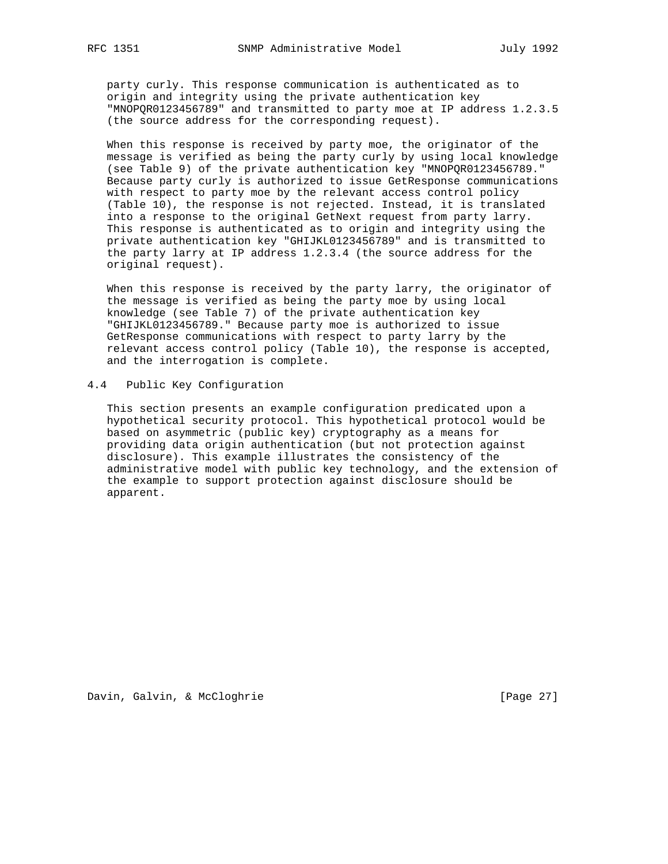party curly. This response communication is authenticated as to origin and integrity using the private authentication key "MNOPQR0123456789" and transmitted to party moe at IP address 1.2.3.5 (the source address for the corresponding request).

 When this response is received by party moe, the originator of the message is verified as being the party curly by using local knowledge (see Table 9) of the private authentication key "MNOPQR0123456789." Because party curly is authorized to issue GetResponse communications with respect to party moe by the relevant access control policy (Table 10), the response is not rejected. Instead, it is translated into a response to the original GetNext request from party larry. This response is authenticated as to origin and integrity using the private authentication key "GHIJKL0123456789" and is transmitted to the party larry at IP address 1.2.3.4 (the source address for the original request).

 When this response is received by the party larry, the originator of the message is verified as being the party moe by using local knowledge (see Table 7) of the private authentication key "GHIJKL0123456789." Because party moe is authorized to issue GetResponse communications with respect to party larry by the relevant access control policy (Table 10), the response is accepted, and the interrogation is complete.

#### 4.4 Public Key Configuration

 This section presents an example configuration predicated upon a hypothetical security protocol. This hypothetical protocol would be based on asymmetric (public key) cryptography as a means for providing data origin authentication (but not protection against disclosure). This example illustrates the consistency of the administrative model with public key technology, and the extension of the example to support protection against disclosure should be apparent.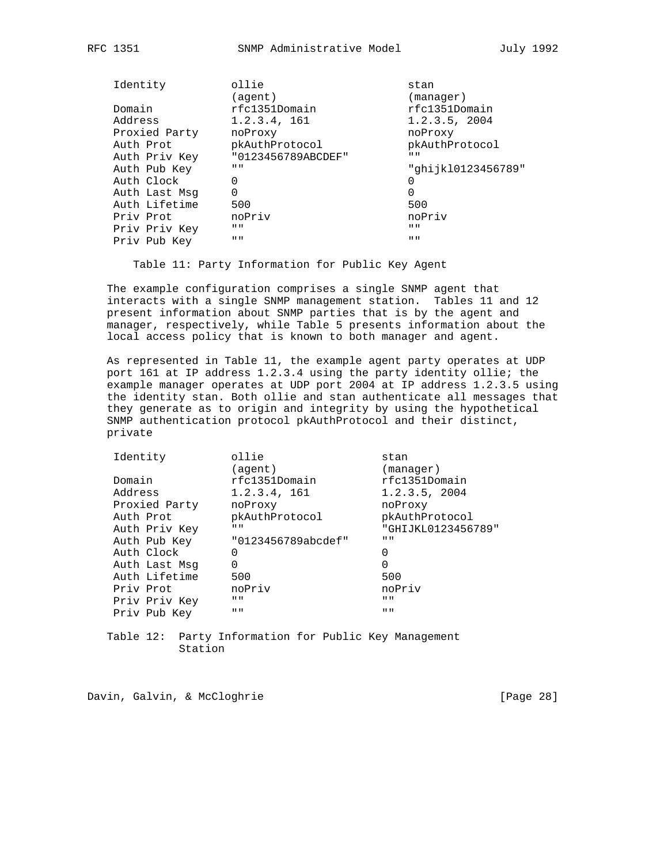| RFC |  |
|-----|--|
|-----|--|

| Identity      | ollie<br>(agent)          | stan<br>(manaqer)         |
|---------------|---------------------------|---------------------------|
| Domain        | rfc1351Domain             | rfc1351Domain             |
| Address       | 1.2.3.4, 161              | 1.2.3.5, 2004             |
| Proxied Party | noProxy                   | noProxy                   |
| Auth Prot     | pkAuthProtocol            | pkAuthProtocol            |
| Auth Priv Key | "0123456789ABCDEF"        | $\mathbf{H}$ $\mathbf{H}$ |
| Auth Pub Key  | $\mathbf{H}$ $\mathbf{H}$ | "ghijk10123456789"        |
| Auth Clock    | 0                         |                           |
| Auth Last Msq | 0                         | 0                         |
| Auth Lifetime | 500                       | 500                       |
| Priv Prot     | noPriv                    | noPriv                    |
| Priv Priv Key | $\mathbf{H}$ $\mathbf{H}$ | $\mathbf{H}$ $\mathbf{H}$ |
| Priv Pub Key  | $II$ $II$                 | $\mathbf{H}$ $\mathbf{H}$ |
|               |                           |                           |

Table 11: Party Information for Public Key Agent

 The example configuration comprises a single SNMP agent that interacts with a single SNMP management station. Tables 11 and 12 present information about SNMP parties that is by the agent and manager, respectively, while Table 5 presents information about the local access policy that is known to both manager and agent.

 As represented in Table 11, the example agent party operates at UDP port 161 at IP address 1.2.3.4 using the party identity ollie; the example manager operates at UDP port 2004 at IP address 1.2.3.5 using the identity stan. Both ollie and stan authenticate all messages that they generate as to origin and integrity by using the hypothetical SNMP authentication protocol pkAuthProtocol and their distinct, private

| Identity      | ollie                     | stan                      |
|---------------|---------------------------|---------------------------|
|               | (aqent)                   | (manager)                 |
| Domain        | rfc1351Domain             | rfc1351Domain             |
| Address       | 1.2.3.4, 161              | 1.2.3.5, 2004             |
| Proxied Party | noProxy                   | noProxy                   |
| Auth Prot     | pkAuthProtocol            | pkAuthProtocol            |
| Auth Priv Key | $\mathbf{H}$ $\mathbf{H}$ | "GHIJKL0123456789"        |
| Auth Pub Key  | "0123456789abcdef"        | $\mathbf{H}$ $\mathbf{H}$ |
| Auth Clock    | 0                         | 0                         |
| Auth Last Msg | 0                         | 0                         |
| Auth Lifetime | 500                       | 500                       |
| Priv Prot     | noPriv                    | noPriv                    |
| Priv Priv Key | $\mathbf{H}$ $\mathbf{H}$ | $\mathbf{H}$ $\mathbf{H}$ |
| Priv Pub Key  | $H$ $H$                   | $H$ $H$                   |
|               |                           |                           |

 Table 12: Party Information for Public Key Management Station

Davin, Galvin, & McCloghrie [Page 28]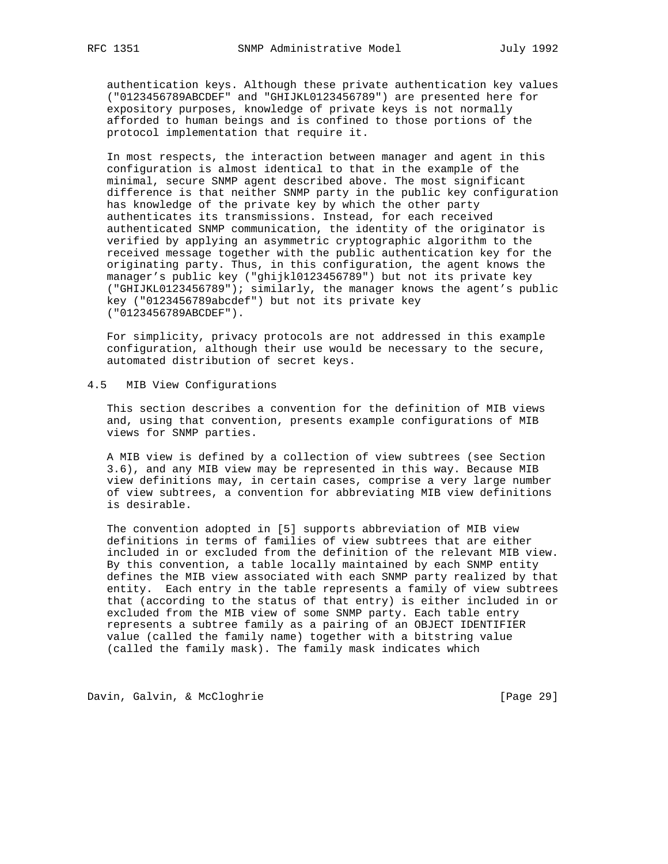authentication keys. Although these private authentication key values ("0123456789ABCDEF" and "GHIJKL0123456789") are presented here for expository purposes, knowledge of private keys is not normally afforded to human beings and is confined to those portions of the protocol implementation that require it.

 In most respects, the interaction between manager and agent in this configuration is almost identical to that in the example of the minimal, secure SNMP agent described above. The most significant difference is that neither SNMP party in the public key configuration has knowledge of the private key by which the other party authenticates its transmissions. Instead, for each received authenticated SNMP communication, the identity of the originator is verified by applying an asymmetric cryptographic algorithm to the received message together with the public authentication key for the originating party. Thus, in this configuration, the agent knows the manager's public key ("ghijkl0123456789") but not its private key ("GHIJKL0123456789"); similarly, the manager knows the agent's public key ("0123456789abcdef") but not its private key ("0123456789ABCDEF").

 For simplicity, privacy protocols are not addressed in this example configuration, although their use would be necessary to the secure, automated distribution of secret keys.

#### 4.5 MIB View Configurations

 This section describes a convention for the definition of MIB views and, using that convention, presents example configurations of MIB views for SNMP parties.

 A MIB view is defined by a collection of view subtrees (see Section 3.6), and any MIB view may be represented in this way. Because MIB view definitions may, in certain cases, comprise a very large number of view subtrees, a convention for abbreviating MIB view definitions is desirable.

 The convention adopted in [5] supports abbreviation of MIB view definitions in terms of families of view subtrees that are either included in or excluded from the definition of the relevant MIB view. By this convention, a table locally maintained by each SNMP entity defines the MIB view associated with each SNMP party realized by that entity. Each entry in the table represents a family of view subtrees that (according to the status of that entry) is either included in or excluded from the MIB view of some SNMP party. Each table entry represents a subtree family as a pairing of an OBJECT IDENTIFIER value (called the family name) together with a bitstring value (called the family mask). The family mask indicates which

Davin, Galvin, & McCloghrie [Page 29]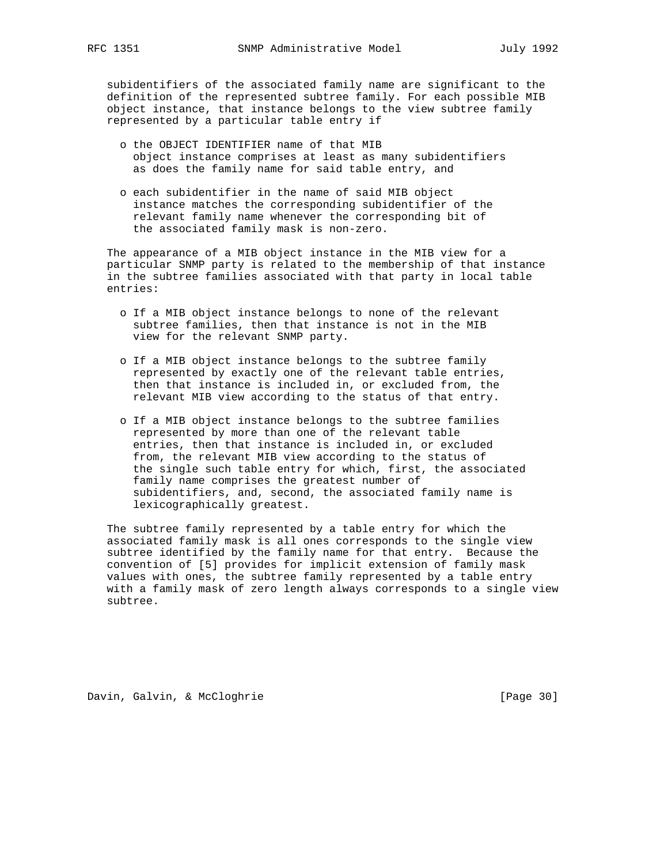subidentifiers of the associated family name are significant to the definition of the represented subtree family. For each possible MIB object instance, that instance belongs to the view subtree family represented by a particular table entry if

- o the OBJECT IDENTIFIER name of that MIB object instance comprises at least as many subidentifiers as does the family name for said table entry, and
- o each subidentifier in the name of said MIB object instance matches the corresponding subidentifier of the relevant family name whenever the corresponding bit of the associated family mask is non-zero.

 The appearance of a MIB object instance in the MIB view for a particular SNMP party is related to the membership of that instance in the subtree families associated with that party in local table entries:

- o If a MIB object instance belongs to none of the relevant subtree families, then that instance is not in the MIB view for the relevant SNMP party.
- o If a MIB object instance belongs to the subtree family represented by exactly one of the relevant table entries, then that instance is included in, or excluded from, the relevant MIB view according to the status of that entry.
- o If a MIB object instance belongs to the subtree families represented by more than one of the relevant table entries, then that instance is included in, or excluded from, the relevant MIB view according to the status of the single such table entry for which, first, the associated family name comprises the greatest number of subidentifiers, and, second, the associated family name is lexicographically greatest.

 The subtree family represented by a table entry for which the associated family mask is all ones corresponds to the single view subtree identified by the family name for that entry. Because the convention of [5] provides for implicit extension of family mask values with ones, the subtree family represented by a table entry with a family mask of zero length always corresponds to a single view subtree.

Davin, Galvin, & McCloghrie [Page 30]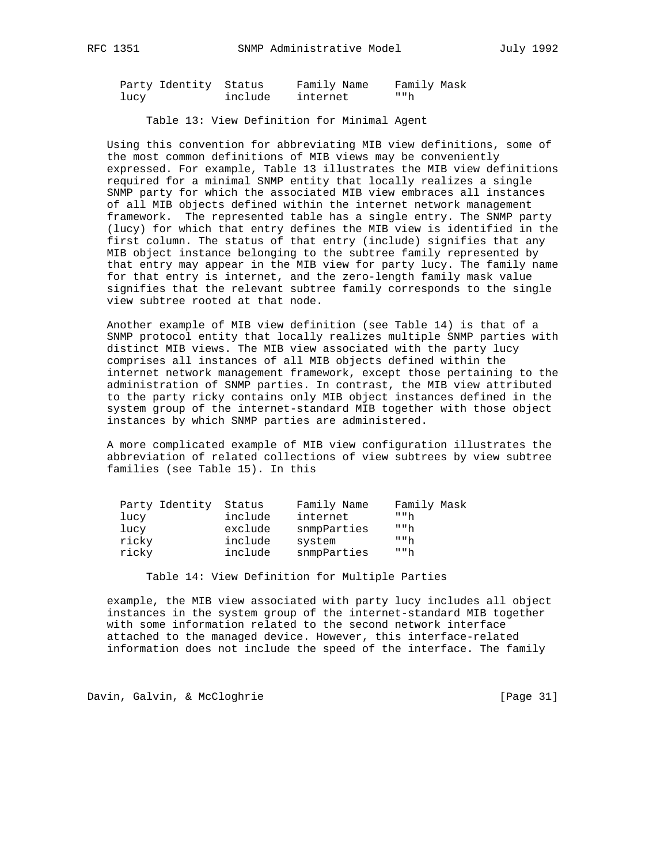| Party Identity Status |         | Family Name | Family Mask |
|-----------------------|---------|-------------|-------------|
| lucy                  | include | internet    | " "h        |

Table 13: View Definition for Minimal Agent

 Using this convention for abbreviating MIB view definitions, some of the most common definitions of MIB views may be conveniently expressed. For example, Table 13 illustrates the MIB view definitions required for a minimal SNMP entity that locally realizes a single SNMP party for which the associated MIB view embraces all instances of all MIB objects defined within the internet network management framework. The represented table has a single entry. The SNMP party (lucy) for which that entry defines the MIB view is identified in the first column. The status of that entry (include) signifies that any MIB object instance belonging to the subtree family represented by that entry may appear in the MIB view for party lucy. The family name for that entry is internet, and the zero-length family mask value signifies that the relevant subtree family corresponds to the single view subtree rooted at that node.

 Another example of MIB view definition (see Table 14) is that of a SNMP protocol entity that locally realizes multiple SNMP parties with distinct MIB views. The MIB view associated with the party lucy comprises all instances of all MIB objects defined within the internet network management framework, except those pertaining to the administration of SNMP parties. In contrast, the MIB view attributed to the party ricky contains only MIB object instances defined in the system group of the internet-standard MIB together with those object instances by which SNMP parties are administered.

 A more complicated example of MIB view configuration illustrates the abbreviation of related collections of view subtrees by view subtree families (see Table 15). In this

| Party Identity | Status  | Family Name | Family Mask |
|----------------|---------|-------------|-------------|
| lucy           | include | internet    | " "h        |
| lucy           | exclude | snmpParties | " "h        |
| ricky          | include | system      | " "h        |
| ricky          | include | snmpParties | " "h        |
|                |         |             |             |

Table 14: View Definition for Multiple Parties

 example, the MIB view associated with party lucy includes all object instances in the system group of the internet-standard MIB together with some information related to the second network interface attached to the managed device. However, this interface-related information does not include the speed of the interface. The family

Davin, Galvin, & McCloghrie [Page 31]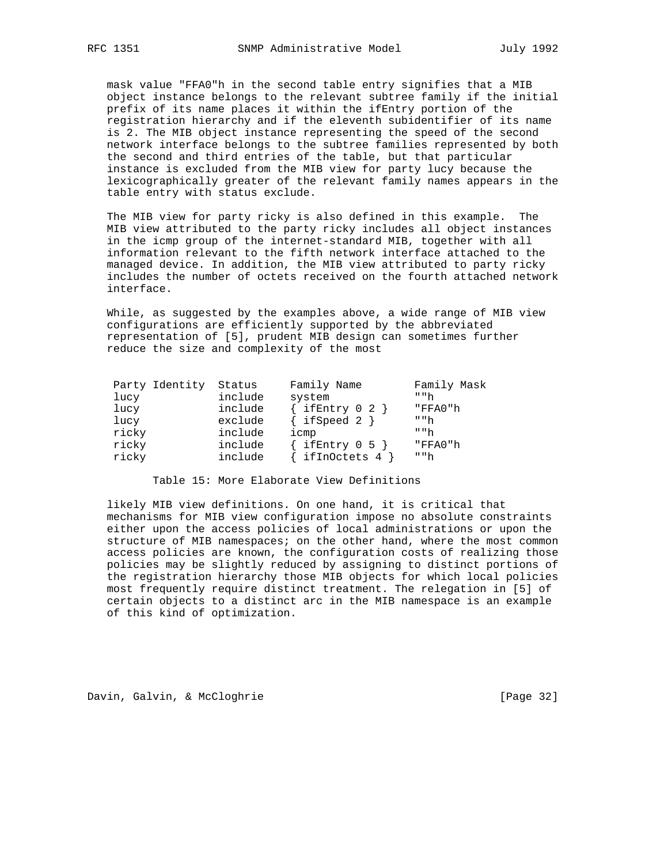mask value "FFA0"h in the second table entry signifies that a MIB object instance belongs to the relevant subtree family if the initial prefix of its name places it within the ifEntry portion of the registration hierarchy and if the eleventh subidentifier of its name is 2. The MIB object instance representing the speed of the second network interface belongs to the subtree families represented by both the second and third entries of the table, but that particular instance is excluded from the MIB view for party lucy because the lexicographically greater of the relevant family names appears in the table entry with status exclude.

 The MIB view for party ricky is also defined in this example. The MIB view attributed to the party ricky includes all object instances in the icmp group of the internet-standard MIB, together with all information relevant to the fifth network interface attached to the managed device. In addition, the MIB view attributed to party ricky includes the number of octets received on the fourth attached network interface.

 While, as suggested by the examples above, a wide range of MIB view configurations are efficiently supported by the abbreviated representation of [5], prudent MIB design can sometimes further reduce the size and complexity of the most

| Party Identity | Status  | Family Name   | Family Mask |
|----------------|---------|---------------|-------------|
| lucy           | include | system        | " "h"       |
| lucy           | include | ifEntry 0 2 } | "FFA0"h     |
| lucy           | exclude | ifSpeed 2     | " "h        |
| ricky          | include | icmp          | " "h        |
| ricky          | include | ifEntry 0 5 } | "FFA0"h     |
| ricky          | include | ifInOctets 4  | " "h        |

Table 15: More Elaborate View Definitions

 likely MIB view definitions. On one hand, it is critical that mechanisms for MIB view configuration impose no absolute constraints either upon the access policies of local administrations or upon the structure of MIB namespaces; on the other hand, where the most common access policies are known, the configuration costs of realizing those policies may be slightly reduced by assigning to distinct portions of the registration hierarchy those MIB objects for which local policies most frequently require distinct treatment. The relegation in [5] of certain objects to a distinct arc in the MIB namespace is an example of this kind of optimization.

Davin, Galvin, & McCloghrie [Page 32]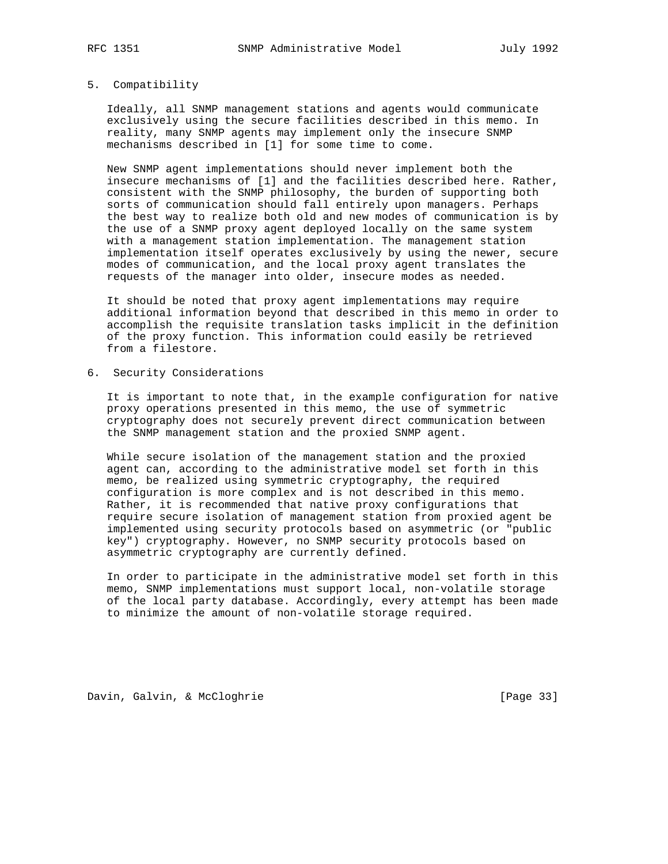#### 5. Compatibility

 Ideally, all SNMP management stations and agents would communicate exclusively using the secure facilities described in this memo. In reality, many SNMP agents may implement only the insecure SNMP mechanisms described in [1] for some time to come.

 New SNMP agent implementations should never implement both the insecure mechanisms of [1] and the facilities described here. Rather, consistent with the SNMP philosophy, the burden of supporting both sorts of communication should fall entirely upon managers. Perhaps the best way to realize both old and new modes of communication is by the use of a SNMP proxy agent deployed locally on the same system with a management station implementation. The management station implementation itself operates exclusively by using the newer, secure modes of communication, and the local proxy agent translates the requests of the manager into older, insecure modes as needed.

 It should be noted that proxy agent implementations may require additional information beyond that described in this memo in order to accomplish the requisite translation tasks implicit in the definition of the proxy function. This information could easily be retrieved from a filestore.

6. Security Considerations

 It is important to note that, in the example configuration for native proxy operations presented in this memo, the use of symmetric cryptography does not securely prevent direct communication between the SNMP management station and the proxied SNMP agent.

 While secure isolation of the management station and the proxied agent can, according to the administrative model set forth in this memo, be realized using symmetric cryptography, the required configuration is more complex and is not described in this memo. Rather, it is recommended that native proxy configurations that require secure isolation of management station from proxied agent be implemented using security protocols based on asymmetric (or "public key") cryptography. However, no SNMP security protocols based on asymmetric cryptography are currently defined.

 In order to participate in the administrative model set forth in this memo, SNMP implementations must support local, non-volatile storage of the local party database. Accordingly, every attempt has been made to minimize the amount of non-volatile storage required.

Davin, Galvin, & McCloghrie [Page 33]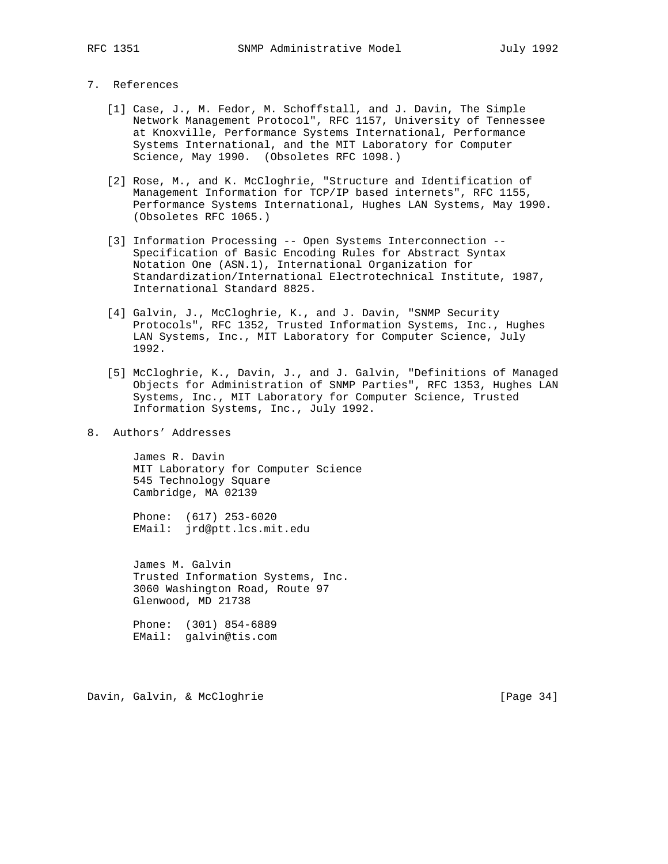# 7. References

- [1] Case, J., M. Fedor, M. Schoffstall, and J. Davin, The Simple Network Management Protocol", RFC 1157, University of Tennessee at Knoxville, Performance Systems International, Performance Systems International, and the MIT Laboratory for Computer Science, May 1990. (Obsoletes RFC 1098.)
- [2] Rose, M., and K. McCloghrie, "Structure and Identification of Management Information for TCP/IP based internets", RFC 1155, Performance Systems International, Hughes LAN Systems, May 1990. (Obsoletes RFC 1065.)
- [3] Information Processing -- Open Systems Interconnection -- Specification of Basic Encoding Rules for Abstract Syntax Notation One (ASN.1), International Organization for Standardization/International Electrotechnical Institute, 1987, International Standard 8825.
- [4] Galvin, J., McCloghrie, K., and J. Davin, "SNMP Security Protocols", RFC 1352, Trusted Information Systems, Inc., Hughes LAN Systems, Inc., MIT Laboratory for Computer Science, July 1992.
- [5] McCloghrie, K., Davin, J., and J. Galvin, "Definitions of Managed Objects for Administration of SNMP Parties", RFC 1353, Hughes LAN Systems, Inc., MIT Laboratory for Computer Science, Trusted Information Systems, Inc., July 1992.
- 8. Authors' Addresses

 James R. Davin MIT Laboratory for Computer Science 545 Technology Square Cambridge, MA 02139

 Phone: (617) 253-6020 EMail: jrd@ptt.lcs.mit.edu

 James M. Galvin Trusted Information Systems, Inc. 3060 Washington Road, Route 97 Glenwood, MD 21738

 Phone: (301) 854-6889 EMail: galvin@tis.com

Davin, Galvin, & McCloghrie [Page 34]